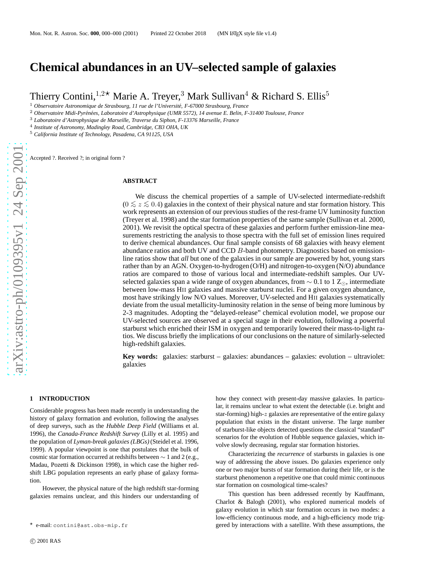# **Chemical abundances in an UV–selected sample of galaxies**

Thierry Contini,  $1.2 \star$  Marie A. Treyer, <sup>3</sup> Mark Sullivan<sup>4</sup> & Richard S. Ellis<sup>5</sup>

<sup>1</sup> Observatoire Astronomique de Strasbourg, 11 rue de l'Université, F-67000 Strasbourg, France

<sup>2</sup> Observatoire Midi-Pyrénées, Laboratoire d'Astrophysique (UMR 5572), 14 avenue E. Belin, F-31400 Toulouse, France

<sup>3</sup> *Laboratoire d'Astrophysique de Marseille, Traverse du Siphon, F-13376 Marseille, France*

4 *Institute of Astronomy, Madingley Road, Cambridge, CB3 OHA, UK*

<sup>5</sup> *California Institute of Technology, Pasadena, CA 91125, USA*

Accepted ?. Received ?; in original form ?

#### **ABSTRACT**

We discuss the chemical properties of a sample of UV-selected intermediate-redshift  $(0 \lesssim z \lesssim 0.4)$  galaxies in the context of their physical nature and star formation history. This work represents an extension of our previous studies of the rest-frame UV luminosity function (Treyer et al. 1998) and the star formation properties of the same sample (Sullivan et al. 2000, 2001). We revisit the optical spectra of these galaxies and perform further emission-line measurements restricting the analysis to those spectra with the full set of emission lines required to derive chemical abundances. Our final sample consists of 68 galaxies with heavy element abundance ratios and both UV and CCD  $B$ -band photometry. Diagnostics based on emissionline ratios show that *all* but one of the galaxies in our sample are powered by hot, young stars rather than by an AGN. Oxygen-to-hydrogen (O/H) and nitrogen-to-oxygen (N/O) abundance ratios are compared to those of various local and intermediate-redshift samples. Our UVselected galaxies span a wide range of oxygen abundances, from  $\sim 0.1$  to 1  $Z_{\odot}$ , intermediate between low-mass HII galaxies and massive starburst nuclei. For a given oxygen abundance, most have strikingly low N/O values. Moreover, UV-selected and HII galaxies systematically deviate from the usual metallicity-luminosity relation in the sense of being more luminous by 2-3 magnitudes. Adopting the "delayed-release" chemical evolution model, we propose our UV-selected sources are observed at a special stage in their evolution, following a powerful starburst which enriched their ISM in oxygen and temporarily lowered their mass-to-light ratios. We discuss briefly the implications of our conclusions on the nature of similarly-selected high-redshift galaxies.

**Key words:** galaxies: starburst – galaxies: abundances – galaxies: evolution – ultraviolet: galaxies

#### **1 INTRODUCTION**

Considerable progress has been made recently in understanding the history of galaxy formation and evolution, following the analyses of deep surveys, such as the *Hubble Deep Field* (Williams et al. 1996), the *Canada-France Redshift Survey* (Lilly et al. 1995) and the population of *Lyman-break galaxies (LBGs)* (Steidel et al. 1996, 1999). A popular viewpoint is one that postulates that the bulk of cosmic star formation occurred at redshifts between  $\sim 1$  and 2 (e.g., Madau, Pozetti & Dickinson 1998), in which case the higher redshift LBG population represents an early phase of galaxy formation.

However, the physical nature of the high redshift star-forming galaxies remains unclear, and this hinders our understanding of how they connect with present-day massive galaxies. In particular, it remains unclear to what extent the detectable (i.e. bright and star-forming) high-z galaxies are representative of the entire galaxy population that exists in the distant universe. The large number of starburst-like objects detected questions the classical "standard" scenarios for the evolution of Hubble sequence galaxies, which involve slowly decreasing, regular star formation histories.

Characterizing the *recurrence* of starbursts in galaxies is one way of addressing the above issues. Do galaxies experience only one or two major bursts of star formation during their life, or is the starburst phenomenon a repetitive one that could mimic continuous star formation on cosmological time-scales?

This question has been addressed recently by Kauffmann, Charlot & Balogh (2001), who explored numerical models of galaxy evolution in which star formation occurs in two modes: a low-efficiency continuous mode, and a high-efficiency mode triggered by interactions with a satellite. With these assumptions, the

<sup>⋆</sup> e-mail: contini@ast.obs-mip.fr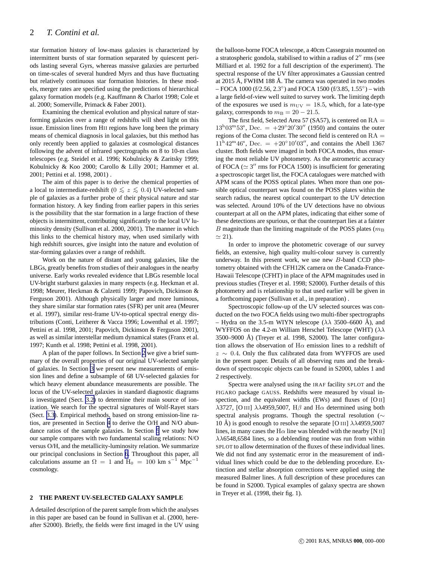<span id="page-1-0"></span>star formation history of low-mass galaxies is characterized by intermittent bursts of star formation separated by quiescent periods lasting several Gyrs, whereas massive galaxies are perturbed on time-scales of several hundred Myrs and thus have fluctuating but relatively continuous star formation histories. In these models, merger rates are specified using the predictions of hierarchical galaxy formation models (e.g. Kauffmann & Charlot 1998; Cole et al. 2000; Somerville, Primack & Faber 2001).

Examining the chemical evolution and physical nature of starforming galaxies over a range of redshifts will shed light on this issue. Emission lines from HII regions have long been the primary means of chemical diagnosis in local galaxies, but this method has only recently been applied to galaxies at cosmological distances following the advent of infrared spectrographs on 8 to 10-m class telescopes (e.g. Steidel et al. 1996; Kobulnicky & Zaritsky 1999; Kobulnicky & Koo 2000; Carollo & Lilly 2001; Hammer et al. 2001; Pettini et al. 1998, 2001) .

The aim of this paper is to derive the chemical properties of a local to intermediate-redshift (0  $\leq z \leq 0.4$ ) UV-selected sample of galaxies as a further probe of their physical nature and star formation history. A key finding from earlier papers in this series is the possibility that the star formation in a large fraction of these objects is intermittent, contributing significantly to the local UV luminosity density (Sullivan et al. 2000, 2001). The manner in which this links to the chemical history may, when used similarly with high redshift sources, give insight into the nature and evolution of star-forming galaxies over a range of redshift.

Work on the nature of distant and young galaxies, like the LBGs, greatly benefits from studies of their analogues in the nearby universe. Early works revealed evidence that LBGs resemble local UV-bright starburst galaxies in many respects (e.g. Heckman et al. 1998; Meurer, Heckman & Calzetti 1999; Papovich, Dickinson & Ferguson 2001). Although physically larger and more luminous, they share similar star formation rates (SFR) per unit area (Meurer et al. 1997), similar rest-frame UV-to-optical spectral energy distributions (Conti, Leitherer & Vacca 1996; Lowenthal et al. 1997; Pettini et al. 1998, 2001; Papovich, Dickinson & Ferguson 2001), as well as similar interstellar medium dynamical states (Franx et al. 1997; Kunth et al. 1998; Pettini et al. 1998, 2001).

A plan of the paper follows. In Section 2 we give a brief summary of the overall properties of our original UV-selected sample of galaxies. In Section 3 we present new measurements of emission lines and define a subsample of 68 UV-selected galaxies for which heavy element abundance measurements are possible. The locus of the UV-selected galaxies in standard diagnostic diagrams is investigated (Sect. [3.2\)](#page-2-0) to determine their main source of ionization. We search for the spectral signatures of Wolf-Rayet stars (Sect. [3.3\)](#page-4-0). Empirical methods, based on strong emission-line ratios, are presented in Section [4](#page-5-0) to derive the O/H and N/O abundance ratios of the sample galaxies. In Section [5](#page-8-0) we study how our sample compares with two fundamental scaling relations: N/O versus O/H, and the metallicity-luminosity relation. We summarize our principal conclusions in Section [6](#page-12-0). Throughout this paper, all calculations assume an  $\Omega = 1$  and  $H_0 = 100$  km s<sup>-1</sup> Mpc<sup>-1</sup> cosmology.

#### **2 THE PARENT UV-SELECTED GALAXY SAMPLE**

A detailed description of the parent sample from which the analyses in this paper are based can be found in Sullivan et al. (2000, hereafter S2000). Briefly, the fields were first imaged in the UV using

the balloon-borne FOCA telescope, a 40cm Cassegrain mounted on a stratospheric gondola, stabilised to within a radius of 2′′ rms (see Milliard et al. 1992 for a full description of the experiment). The spectral response of the UV filter approximates a Gaussian centred at  $2015$  Å, FWHM 188 Å. The camera was operated in two modes – FOCA 1000 (f/2.56, 2.3<sup>°</sup>) and FOCA 1500 (f/3.85, 1.55<sup>°</sup>) – with a large field-of-view well suited to survey work. The limiting depth of the exposures we used is  $m_{\text{UV}} = 18.5$ , which, for a late-type galaxy, corresponds to  $m<sub>B</sub> = 20 - 21.5$ .

The first field, Selected Area 57 (SA57), is centered on  $RA =$  $13^{\rm h}03^{\rm m}53^{\rm s}$ , Dec. =  $+29^{\circ}20'30''$  (1950) and contains the outer regions of the Coma cluster. The second field is centered on RA =  $11^{\rm h}42^{\rm m}46^{\rm s}$ , Dec. =  $+20^{\circ}10'03''$ , and contains the Abell 1367 cluster. Both fields were imaged in both FOCA modes, thus ensuring the most reliable UV photometry. As the astrometric accuracy of FOCA ( $\simeq$  3" rms for FOCA 1500) is insufficient for generating a spectroscopic target list, the FOCA catalogues were matched with APM scans of the POSS optical plates. When more than one possible optical counterpart was found on the POSS plates within the search radius, the nearest optical counterpart to the UV detection was selected. Around 10% of the UV detections have no obvious counterpart at all on the APM plates, indicating that either some of these detections are spurious, or that the counterpart lies at a fainter B magnitude than the limiting magnitude of the POSS plates ( $m<sub>B</sub>$  $\simeq$  21).

In order to improve the photometric coverage of our survey fields, an extensive, high quality multi-colour survey is currently underway. In this present work, we use new B-band CCD photometry obtained with the CFH12K camera on the Canada-France-Hawaii Telescope (CFHT) in place of the APM magnitudes used in previous studies (Treyer et al. 1998; S2000). Further details of this photometry and is relationship to that used earlier will be given in a forthcoming paper (Sullivan et al., in preparation) .

Spectroscopic follow-up of the UV selected sources was conducted on the two FOCA fields using two multi-fiber spectrographs – Hydra on the 3.5-m WIYN telescope ( $\lambda \lambda$  3500–6600 Å), and WYFFOS on the 4.2-m William Herschel Telescope (WHT)  $(\lambda \lambda)$  $3500-9000$  Å) (Treyer et al. 1998, S2000). The latter configuration allows the observation of  $H\alpha$  emission lines to a redshift of  $z \sim 0.4$ . Only the flux calibrated data from WYFFOS are used in the present paper. Details of all observing runs and the breakdown of spectroscopic objects can be found in S2000, tables 1 and 2 respectively.

Spectra were analysed using the IRAF facility SPLOT and the FIGARO package GAUSS. Redshifts were measured by visual inspection, and the equivalent widths (EWs) and fluxes of [O II] λ3727, [O III] λλ4959,5007,  $H\beta$  and  $H\alpha$  determined using both spectral analysis programs. Though the spectral resolution (∼ 10 Å) is good enough to resolve the separate [O III]  $\lambda\lambda$ 4959,5007 lines, in many cases the  $H\alpha$  line was blended with the nearby [N II]  $\lambda\lambda$ 6548,6584 lines, so a deblending routine was run from within SPLOT to allow determination of the fluxes of these individual lines. We did not find any systematic error in the measurement of individual lines which could be due to the deblending procedure. Extinction and stellar absorption corrections were applied using the measured Balmer lines. A full description of these procedures can be found in S2000. Typical examples of galaxy spectra are shown in Treyer et al. (1998, their fig. 1).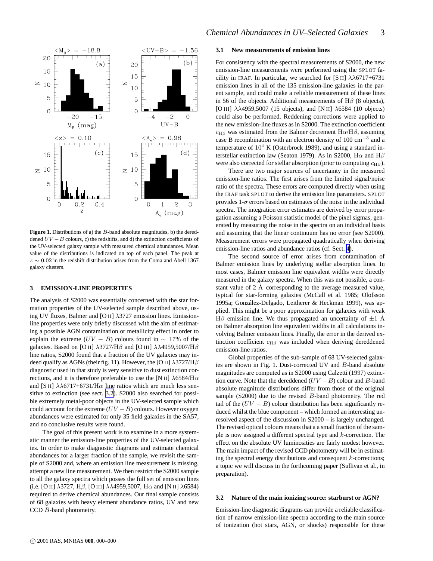<span id="page-2-0"></span>

**Figure 1.** Distributions of a) the B-band absolute magnitudes, b) the dereddened  $UV - B$  colours, c) the redshifts, and d) the extinction coefficients of the UV-selected galaxy sample with measured chemical abundances. Mean value of the distributions is indicated on top of each panel. The peak at  $z \sim 0.02$  in the redshift distribution arises from the Coma and Abell 1367 galaxy clusters.

#### **3 EMISSION-LINE PROPERTIES**

The analysis of S2000 was essentially concerned with the star formation properties of the UV-selected sample described above, using UV fluxes, Balmer and [O II] λ3727 emission lines. Emissionline properties were only briefly discussed with the aim of estimating a possible AGN contamination or metallicity effect in order to explain the extreme  $(UV - B)$  colours found in ~ 17% of the galaxies. Based on [O II]  $\lambda$ 3727/H $\beta$  and [O III]  $\lambda\lambda$ 4959,5007/H $\beta$ line ratios, S2000 found that a fraction of the UV galaxies may indeed qualify as AGNs (their fig. 11). However, the [O II]  $\lambda$ 3727/H $\beta$ diagnostic used in that study is very sensitive to dust extinction corrections, and it is therefore preferable to use the [N II]  $\lambda6584/\mathrm{H}\alpha$ and [S II]  $\lambda\lambda$ 6717+6731/H $\alpha$  line ratios which are much less sensitive to extinction (see sect. 3.2). S2000 also searched for possible extremely metal-poor objects in the UV-selected sample which could account for the extreme  $(UV - B)$  colours. However oxygen abundances were estimated for only 35 field galaxies in the SA57, and no conclusive results were found.

The goal of this present work is to examine in a more systematic manner the emission-line properties of the UV-selected galaxies. In order to make diagnostic diagrams and estimate chemical abundances for a larger fraction of the sample, we revisit the sample of S2000 and, where an emission line measurement is missing, attempt a new line measurement. We then restrict the S2000 sample to all the galaxy spectra which posses the full set of emission lines (i.e. [O II]  $\lambda$ 3727, H $\beta$ , [O III]  $\lambda\lambda$ 4959,5007, H $\alpha$  and [N II]  $\lambda$ 6584) required to derive chemical abundances. Our final sample consists of 68 galaxies with heavy element abundance ratios, UV and new CCD B-band photometry.

## **3.1 New measurements of emission lines**

For consistency with the spectral measurements of S2000, the new emission-line measurements were performed using the SPLOT facility in IRAF. In particular, we searched for [S II]  $\lambda\lambda$ 6717+6731 emission lines in all of the 135 emission-line galaxies in the parent sample, and could make a reliable measurement of these lines in 56 of the objects. Additional measurements of  $H\beta$  (8 objects), [O III] λλ4959,5007 (15 objects), and [N II] λ6584 (10 objects) could also be performed. Reddening corrections were applied to the new emission-line fluxes as in S2000. The extinction coefficient  $c_{H\beta}$  was estimated from the Balmer decrement  $H\alpha/H\beta$ , assuming case B recombination with an electron density of  $100 \text{ cm}^{-3}$  and a temperature of  $10^4$  K (Osterbrock 1989), and using a standard interstellar extinction law (Seaton 1979). As in S2000, H $\alpha$  and H $\beta$ were also corrected for stellar absorption (prior to computing  $c_{\text{H}\beta}$ ).

There are two major sources of uncertainty in the measured emission-line ratios. The first arises from the limited signal/noise ratio of the spectra. These errors are computed directly when using the IRAF task SPLOT to derive the emission line parameters. SPLOT provides  $1-\sigma$  errors based on estimates of the noise in the individual spectra. The integration error estimates are derived by error propagation assuming a Poisson statistic model of the pixel sigmas, generated by measuring the noise in the spectra on an individual basis and assuming that the linear continuum has no error (see S2000). Measurement errors were propagated quadratically when deriving emission-line ratios and abundance ratios (cf. Sect. [4](#page-5-0)).

The second source of error arises from contamination of Balmer emission lines by underlying stellar absorption lines. In most cases, Balmer emission line equivalent widths were directly measured in the galaxy spectra. When this was not possible, a constant value of  $2 \text{ Å}$  corresponding to the average measured value, typical for star-forming galaxies (McCall et al. 1985; Olofsson 1995a; González-Delgado, Leitherer & Heckman 1999), was applied. This might be a poor approximation for galaxies with weak  $H\beta$  emission line. We thus propagated an uncertainty of  $\pm 1$  Å on Balmer absorption line equivalent widths in all calculations involving Balmer emission lines. Finally, the error in the derived extinction coefficient  $c_{\text{H}\beta}$  was included when deriving dereddened emission-line ratios.

Global properties of the sub-sample of 68 UV-selected galaxies are shown in Fig. 1. Dust-corrected UV and B-band absolute magnitudes are computed as in S2000 using Calzetti (1997) extinction curve. Note that the dereddened  $(UV - B)$  colour and B-band absolute magnitude distributions differ from those of the original sample (S2000) due to the revised B-band photometry. The red tail of the  $(UV - B)$  colour distribution has been significantly reduced whilst the blue component – which formed an interesting unresolved aspect of the discussion in S2000 – is largely unchanged. The revised optical colours means that a a small fraction of the sample is now assigned a different spectral type and k-correction. The effect on the absolute UV luminosities are fairly modest however. The main impact of the revised CCD photometry will be in estimating the spectral energy distributions and consequent k-corrections; a topic we will discuss in the forthcoming paper (Sullivan et al., in preparation).

## **3.2 Nature of the main ionizing source: starburst or AGN?**

Emission-line diagnostic diagrams can provide a reliable classification of narrow emission-line spectra according to the main source of ionization (hot stars, AGN, or shocks) responsible for these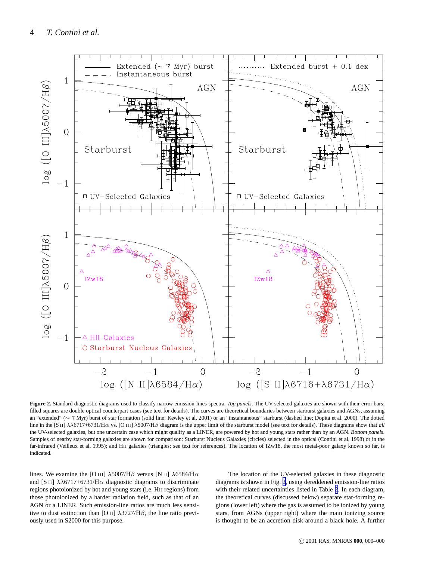<span id="page-3-0"></span>

**Figure 2.** Standard diagnostic diagrams used to classify narrow emission-lines spectra. *Top panels*. The UV-selected galaxies are shown with their error bars; filled squares are double optical counterpart cases (see text for details). The curves are theoretical boundaries between starburst galaxies and AGNs, assuming an "extended" (∼ 7 Myr) burst of star formation (solid line; Kewley et al. 2001) or an "instantaneous" starburst (dashed line; Dopita et al. 2000). The dotted line in the [S II] λλ6717+6731/Hα vs. [O III] λ5007/Hβ diagram is the upper limit of the starburst model (see text for details). These diagrams show that *all* the UV-selected galaxies, but one uncertain case which might qualify as a LINER, are powered by hot and young stars rather than by an AGN. *Bottom panels*. Samples of nearby star-forming galaxies are shown for comparison: Starburst Nucleus Galaxies (circles) selected in the optical (Contini et al. 1998) or in the far-infrared (Veilleux et al. 1995); and HII galaxies (triangles; see text for references). The location of IZw18, the most metal-poor galaxy known so far, is indicated.

lines. We examine the [O III]  $\lambda$ 5007/H $\beta$  versus [N II]  $\lambda$ 6584/H $\alpha$ and [S II]  $\lambda\lambda$ 6717+6731/H $\alpha$  diagnostic diagrams to discriminate regions photoionized by hot and young stars (i.e. HII regions) from those photoionized by a harder radiation field, such as that of an AGN or a LINER. Such emission-line ratios are much less sensitive to dust extinction than [O II]  $\lambda$ 3727/H $\beta$ , the line ratio previously used in S2000 for this purpose.

The location of the UV-selected galaxies in these diagnostic diagrams is shown in Fig. 2, using dereddened emission-line ratios with their related uncertainties listed in Table [2.](#page-15-0) In each diagram, the theoretical curves (discussed below) separate star-forming regions (lower left) where the gas is assumed to be ionized by young stars, from AGNs (upper right) where the main ionizing source is thought to be an accretion disk around a black hole. A further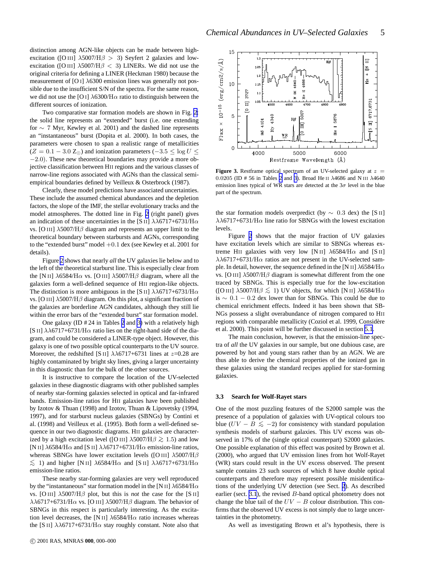<span id="page-4-0"></span>distinction among AGN-like objects can be made between highexcitation ([O III]  $\lambda$ 5007/H $\beta$  > 3) Seyfert 2 galaxies and lowexcitation ([O III]  $\lambda$ 5007/H $\beta$  < 3) LINERs. We did not use the original criteria for defining a LINER (Heckman 1980) because the measurement of [O I]  $\lambda$ 6300 emission lines was generally not possible due to the insufficient S/N of the spectra. For the same reason, we did not use the [O I]  $\lambda$ 6300/H $\alpha$  ratio to distinguish between the different sources of ionization.

Two comparative star formation models are shown in Fig. [2:](#page-3-0) the solid line represents an "extended" burst (i.e. one extending for ∼ 7 Myr, Kewley et al. 2001) and the dashed line represents an "instantaneous" burst (Dopita et al. 2000). In both cases, the parameters were chosen to span a realistic range of metallicities  $(Z = 0.1 - 3.0 Z_{\odot})$  and ionization parameters  $(-3.5 \le \log U \le$ −2.0). These new theoretical boundaries may provide a more objective classification between HII regions and the various classes of narrow-line regions associated with AGNs than the classical semiempirical boundaries defined by Veilleux & Osterbrock (1987).

Clearly, these model predictions have associated uncertainties. These include the assumed chemical abundances and the depletion factors, the slope of the IMF, the stellar evolutionary tracks and the model atmospheres. The dotted line in Fig. [2](#page-3-0) (right panel) gives an indication of these uncertainties in the [S II]  $\lambda\lambda$ 6717+6731/H $\alpha$ vs. [O III]  $\lambda$ 5007/H $\beta$  diagram and represents an upper limit to the theoretical boundary between starbursts and AGNs, corresponding to the "extended burst" model +0.1 dex (see Kewley et al. 2001 for details).

Figure [2](#page-3-0) shows that nearly *all* the UV galaxies lie below and to the left of the theoretical starburst line. This is especially clear from the [N II]  $\lambda$ 6584/H $\alpha$  vs. [O III]  $\lambda$ 5007/H $\beta$  diagram, where all the galaxies form a well-defined sequence of HII region-like objects. The distinction is more ambiguous in the [S II]  $\lambda\lambda$ 6717+6731/H $\alpha$ vs. [O III] λ5007/Hβ diagram. On this plot, a significant fraction of the galaxies are borderline AGN candidates, although they still lie within the error bars of the "extended burst" star formation model.

One galaxy (ID # 24 in Tables [2](#page-15-0) and [3\)](#page-16-0) with a relatively high [S II]  $\lambda\lambda$ 6717+6731/H $\alpha$  ratio lies on the right-hand side of the diagram, and could be considered a LINER-type object. However, this galaxy is one of two possible optical counterparts to the UV source. Moreover, the redshifted [S II]  $\lambda\lambda$ 6717+6731 lines at z=0.28 are highly contaminated by bright sky lines, giving a larger uncertainty in this diagnostic than for the bulk of the other sources.

It is instructive to compare the location of the UV-selected galaxies in these diagnostic diagrams with other published samples of nearby star-forming galaxies selected in optical and far-infrared bands. Emission-line ratios for HII galaxies have been published by Izotov & Thuan (1998) and Izotov, Thuan & Lipovetsky (1994, 1997), and for starburst nucleus galaxies (SBNGs) by Contini et al. (1998) and Veilleux et al. (1995). Both form a well-defined sequence in our two diagnostic diagrams. HII galaxies are characterized by a high excitation level ([O III]  $\lambda$ 5007/H $\beta$  ≳ 1.5) and low [N II]  $\lambda$ 6584/H $\alpha$  and [S II]  $\lambda\lambda$ 6717+6731/H $\alpha$  emission-line ratios, whereas SBNGs have lower excitation levels ([O III]  $\lambda$ 5007/H $\beta$  $\lesssim$  1) and higher [N II]  $\lambda$ 6584/H $\alpha$  and [S II]  $\lambda\lambda$ 6717+6731/H $\alpha$ emission-line ratios.

These nearby star-forming galaxies are very well reproduced by the "instantaneous" star formation model in the [N II]  $\lambda$ 6584/H $\alpha$ vs. [O III]  $\lambda$ 5007/H $\beta$  plot, but this is *not* the case for the [S II]  $\lambda\lambda$ 6717+6731/H $\alpha$  vs. [O III]  $\lambda$ 5007/H $\beta$  diagram. The behavior of SBNGs in this respect is particularly interesting. As the excitation level decreases, the [N II]  $\lambda$ 6584/H $\alpha$  ratio increases whereas the [S II]  $\lambda\lambda$ 6717+6731/H $\alpha$  stay roughly constant. Note also that



**Figure 3.** Restframe optical spectrum of an UV-selected galaxy at  $z =$ 0.0205 (ID # 56 in Tables [2](#page-15-0) and [3\)](#page-16-0). Broad He II λ4686 and N III λ4640 emission lines typical of WR stars are detected at the  $3\sigma$  level in the blue part of the spectrum.

the star formation models overpredict (by  $\sim$  0.3 dex) the [S II]  $\lambda\lambda$ 6717+6731/H $\alpha$  line ratio for SBNGs with the lowest excitation levels.

Figure [2](#page-3-0) shows that the major fraction of UV galaxies have excitation levels which are similar to SBNGs whereas extreme HII galaxies with very low [N II]  $\lambda$ 6584/H $\alpha$  and [S II]  $\lambda\lambda$ 6717+6731/H $\alpha$  ratios are not present in the UV-selected sample. In detail, however, the sequence defined in the [N II]  $\lambda$ 6584/H $\alpha$ vs. [O III]  $\lambda$ 5007/H $\beta$  diagram is somewhat different from the one traced by SBNGs. This is especially true for the low-excitation ([O III]  $\lambda$ 5007/H $\beta \le 1$ ) UV objects, for which [N II]  $\lambda$ 6584/H $\alpha$ is ∼ 0.1 − 0.2 dex lower than for SBNGs. This could be due to chemical enrichment effects. Indeed it has been shown that SB-NGs possess a slight overabundance of nitrogen compared to HII regions with comparable metallicity (Coziol et al. 1999, Considère et al. 2000). This point will be further discussed in section [5.1](#page-8-0).

The main conclusion, however, is that the emission-line spectra of *all* the UV galaxies in our sample, but one dubious case, are powered by hot and young stars rather than by an AGN. We are thus able to derive the chemical properties of the ionized gas in these galaxies using the standard recipes applied for star-forming galaxies.

### **3.3 Search for Wolf-Rayet stars**

One of the most puzzling features of the S2000 sample was the presence of a population of galaxies with UV-optical colours too blue  $(UV - B \leq -2)$  for consistency with standard population synthesis models of starburst galaxies. This UV excess was observed in 17% of the (single optical counterpart) S2000 galaxies. One possible explanation of this effect was posited by Brown et al. (2000), who argued that UV emission lines from hot Wolf-Rayet (WR) stars could result in the UV excess observed. The present sample contains 23 such sources of which 8 have double optical counterparts and therefore may represent possible misidentifications of the underlying UV detection (see Sect. [2](#page-1-0)). As described earlier (sect. [3.1](#page-2-0)), the revised B-band optical photometry does not change the blue tail of the  $UV - B$  colour distribution. This confirms that the observed UV excess is not simply due to large uncertainties in the photometry.

As well as investigating Brown et al's hypothesis, there is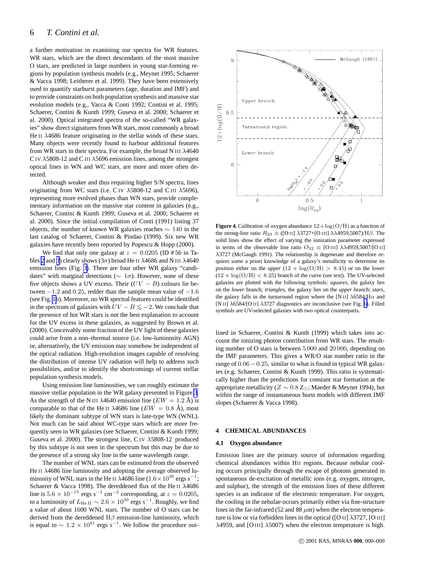## <span id="page-5-0"></span>6 *T. Contini et al.*

a further motivation in examining our spectra for WR features. WR stars, which are the direct descendants of the most massive O stars, are predicted in large numbers in young star-forming regions by population synthesis models (e.g., Meynet 1995; Schaerer & Vacca 1998; Leitherer et al. 1999). They have been extensively used to quantify starburst parameters (age, duration and IMF) and to provide constraints on both population synthesis and massive star evolution models (e.g., Vacca & Conti 1992; Contini et al. 1995; Schaerer, Contini & Kunth 1999; Guseva et al. 2000; Schaerer et al. 2000). Optical integrated spectra of the so-called "WR galaxies" show direct signatures from WR stars, most commonly a broad He II λ4686 feature originating in the stellar winds of these stars. Many objects were recently found to harbour additional features from WR stars in their spectra. For example, the broad N III  $\lambda$ 4640 C IV  $\lambda$ 5808-12 and C III  $\lambda$ 5696 emission lines, among the strongest optical lines in WN and WC stars, are more and more often detected.

Although weaker and thus requiring higher S/N spectra, lines originating from WC stars (i.e. C IV  $\lambda$ 5808-12 and C III  $\lambda$ 5696), representing more evolved phases than WN stars, provide complementary information on the massive star content in galaxies (e.g., Schaerer, Contini & Kunth 1999; Guseva et al. 2000; Schaerer et al. 2000). Since the initial compilation of Conti (1991) listing 37 objects, the number of known WR galaxies reaches  $\sim 140$  in the last catalog of Schaerer, Contini & Pindao (1999). Six new WR galaxies have recently been reported by Popescu & Hopp (2000).

We find that only one galaxy at  $z = 0.0205$  (ID #56 in Ta-bles [2](#page-15-0) and [3](#page-16-0)) clearly shows ( $3\sigma$ ) broad He II  $\lambda$ 4686 and N III  $\lambda$ 4640 emission lines (Fig. [3\)](#page-4-0). There are four other WR galaxy "candidates" with marginal detections ( $\sim 1\sigma$ ). However, none of these five objects shows a UV excess. Their  $(UV - B)$  colours lie between  $-1.2$  and 0.25, redder than the sample mean value of  $-1.6$ (see Fig. [1b](#page-2-0)). Moreover, no WR spectral features could be identified in the spectrum of galaxies with  $UV - B \lesssim -2$ . We conclude that the presence of hot WR stars is not the best explanation to account for the UV excess in these galaxies, as suggested by Brown et al. (2000). Conceivably some fraction of the UV light of these galaxies could arise from a non–thermal source (i.e. low-luminosity AGN) or, alternatively, the UV emission may somehow be independent of the optical radiation. High-resolution images capable of resolving the distribution of intense UV radiation will help to address such possibilities, and/or to identify the shortcomings of current stellar population synthesis models.

Using emission line luminosities, we can roughly estimate the massive stellar population in the WR galaxy presented in Figure [3.](#page-4-0) As the strength of the N III  $\lambda$ 4640 emission line ( $EW = 1.2 \text{ Å}$ ) is comparable to that of the He II  $\lambda$ 4686 line ( $EW = 0.8$  Å), most likely the dominant subtype of WN stars is late-type WN (WNL). Not much can be said about WC-type stars which are more frequently seen in WR galaxies (see Schaerer, Contini & Kunth 1999; Guseva et al. 2000). The strongest line, C IV λ5808-12 produced by this subtype is not seen in the spectrum but this may be due to the presence of a strong sky line in the same wavelength range.

The number of WNL stars can be estimated from the observed He II λ4686 line luminosity and adopting the average observed luminosity of WNL stars in the He II  $\lambda$ 4686 line (1.6 × 10<sup>36</sup> ergs s<sup>-1</sup>; Schaerer & Vacca 1998). The dereddened flux of the He II λ4686 line is  $5.6 \times 10^{-15}$  ergs s<sup>-1</sup> cm<sup>-2</sup> corresponding, at  $z = 0.0205$ , to a luminosity of  $L_{\rm He\,II}\sim 2.6\times 10^{39}$  ergs s<sup>−1</sup>. Roughly, we find a value of about 1600 WNL stars. The number of O stars can be derived from the dereddened  $H\beta$  emission-line luminosity, which is equal to  $\sim 1.2 \times 10^{41}$  ergs s<sup>-1</sup>. We follow the procedure out-



**Figure 4.** Calibration of oxygen abundance  $12 + \log(O/H)$  as a function of the strong-line ratio  $R_{23} \equiv ($ [O II]  $\lambda$ 3727+[O III]  $\lambda\lambda$ 4959,5007)/H $\beta$ . The solid lines show the effect of varying the ionization parameter expressed in terms of the observable line ratio  $O_{32} \equiv [O\,\text{III}]$   $\lambda\lambda$ 4959,5007/[O II] λ3727 (McGaugh 1991). The relationship is degenerate and therefore requires some a priori knowledge of a galaxy's metallicity to determine its position either on the *upper*  $(12 + \log(O/H) > 8.45)$  or on the *lower*  $(12 + \log(O/H) < 8.25)$  branch of the curve (see text). The UV-selected galaxies are plotted with the following symbols: *squares*, the galaxy lies on the *lower* branch; *triangles*, the galaxy lies on the *upper* branch; *stars*, the galaxy falls in the turnaround region where the [N II]  $\lambda$ 6584/H $\alpha$  and [N II] λ6584/[O II] λ3727 diagnostics are inconclusive (see Fig. [6\)](#page-7-0). Filled symbols are UV-selected galaxies with two optical counterparts.

lined in Schaerer, Contini & Kunth (1999) which takes into account the ionizing photon contribution from WR stars. The resulting number of O stars is between 5 000 and 20 000, depending on the IMF parameters. This gives a WR/O star number ratio in the range of  $0.06-0.25$ , similar to what is found in typical WR galaxies (e.g. Schaerer, Contini & Kunth 1999). This ratio is systematically higher than the predictions for constant star formation at the appropriate metallicity ( $Z \sim 0.8$  Z<sub>☉</sub>; Maeder & Meynet 1994), but within the range of instantaneous burst models with different IMF slopes (Schaerer & Vacca 1998).

#### **4 CHEMICAL ABUNDANCES**

## **4.1 Oxygen abundance**

Emission lines are the primary source of information regarding chemical abundances within HII regions. Because nebular cooling occurs principally through the escape of photons generated in spontaneous de-excitation of metallic ions (e.g. oxygen, nitrogen, and sulphur), the strength of the emission lines of these different species is an indicator of the electronic temperature. For oxygen, the cooling in the nebulae occurs primarily either via fine-structure lines in the far-infrared (52 and 88  $\mu$ m) when the electron temperature is low or via forbidden lines in the optical ([O II]  $\lambda$ 3727, [O III]  $\lambda$ 4959, and [O III]  $\lambda$ 5007) when the electron temperature is high.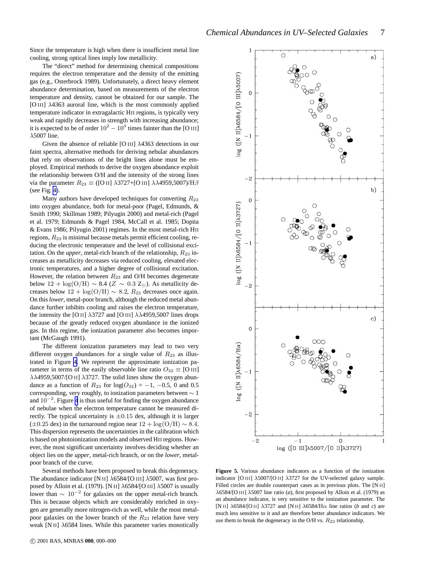<span id="page-6-0"></span>Since the temperature is high when there is insufficient metal line cooling, strong optical lines imply low metallicity.

The "direct" method for determining chemical compositions requires the electron temperature and the density of the emitting gas (e.g., Osterbrock 1989). Unfortunately, a direct heavy element abundance determination, based on measurements of the electron temperature and density, cannot be obtained for our sample. The [O III] λ4363 auroral line, which is the most commonly applied temperature indicator in extragalactic HII regions, is typically very weak and rapidly decreases in strength with increasing abundance; it is expected to be of order  $10^2 - 10^3$  times fainter than the [O III]  $\lambda$ 5007 line.

Given the absence of reliable [O III] λ4363 detections in our faint spectra, alternative methods for deriving nebular abundances that rely on observations of the bright lines alone must be employed. Empirical methods to derive the oxygen abundance exploit the relationship between O/H and the intensity of the strong lines via the parameter  $R_{23} \equiv ($ [O II]  $\lambda$ 3727+[O III]  $\lambda\lambda$ 4959,5007)/H $\beta$ (see Fig. [4\)](#page-5-0).

Many authors have developed techniques for converting  $R_{23}$ into oxygen abundance, both for metal-poor (Pagel, Edmunds, & Smith 1990; Skillman 1989; Pilyugin 2000) and metal-rich (Pagel et al. 1979; Edmunds & Pagel 1984, McCall et al. 1985; Dopita & Evans 1986; Pilyugin 2001) regimes. In the most metal-rich HII regions,  $R_{23}$  is minimal because metals permit efficient cooling, reducing the electronic temperature and the level of collisional excitation. On the *upper*, metal-rich branch of the relationship,  $R_{23}$  increases as metallicity decreases via reduced cooling, elevated electronic temperatures, and a higher degree of collisional excitation. However, the relation between  $R_{23}$  and O/H becomes degenerate below 12 + log(O/H)  $\sim$  8.4 (Z  $\sim$  0.3 Z<sub>☉</sub>). As metallicity decreases below  $12 + \log(O/H) \sim 8.2$ ,  $R_{23}$  decreases once again. On this*lower*, metal-poor branch, although the reduced metal abundance further inhibits cooling and raises the electron temperature, the intensity the [O II]  $\lambda$ 3727 and [O III]  $\lambda\lambda$ 4959,5007 lines drops because of the greatly reduced oxygen abundance in the ionized gas. In this regime, the ionization parameter also becomes important (McGaugh 1991).

The different ionization parameters may lead to two very different oxygen abundances for a single value of  $R_{23}$  as illustrated in Figure [4.](#page-5-0) We represent the approximate ionization parameter in terms of the easily observable line ratio  $O_{32} \equiv$  [O III]  $\lambda\lambda$ 4959,5007/[O II]  $\lambda$ 3727. The solid lines show the oxygen abundance as a function of  $R_{23}$  for  $log(O_{32}) = -1$ ,  $-0.5$ , 0 and 0.5 corresponding, very roughly, to ionization parameters between ∼ 1 and  $10^{-2}$ . Figure [4](#page-5-0) is thus useful for finding the oxygen abundance of nebulae when the electron temperature cannot be measured directly. The typical uncertainty is  $\pm 0.15$  dex, although it is larger  $(\pm 0.25$  dex) in the turnaround region near  $12 + \log(O/H) \sim 8.4$ . This dispersion represents the uncertainties in the calibration which is based on photoionization models and observed HII regions. However, the most significant uncertainty involves deciding whether an object lies on the *upper*, metal-rich branch, or on the *lower*, metalpoor branch of the curve.

Several methods have been proposed to break this degeneracy. The abundance indicator [N II]  $\lambda$ 6584/[O III]  $\lambda$ 5007, was first proposed by Alloin et al. (1979). [N II]  $\lambda$ 6584/[O III]  $\lambda$ 5007 is usually lower than  $\sim 10^{-2}$  for galaxies on the upper metal-rich branch. This is because objects which are considerably enriched in oxygen are generally more nitrogen-rich as well, while the most metalpoor galaxies on the lower branch of the  $R_{23}$  relation have very weak [N II]  $\lambda$ 6584 lines. While this parameter varies monotically



**Figure 5.** Various abundance indicators as a function of the ionization indicator [O III] λ5007/[O II] λ3727 for the UV-selected galaxy sample. Filled circles are double counterpart cases as in previous plots. The [N II]  $\lambda$ 6584/[O III]  $\lambda$ 5007 line ratio (*a*), first proposed by Alloin et al. (1979) as an abundance indicator, is very sensitive to the ionization parameter. The [N II]  $\lambda$ 6584/[O II]  $\lambda$ 3727 and [N II]  $\lambda$ 6584/H $\alpha$  line ratios (*b* and *c*) are much less sensitive to it and are therefore better abundance indicators. We use them to break the degeneracy in the O/H vs.  $R_{23}$  relationship.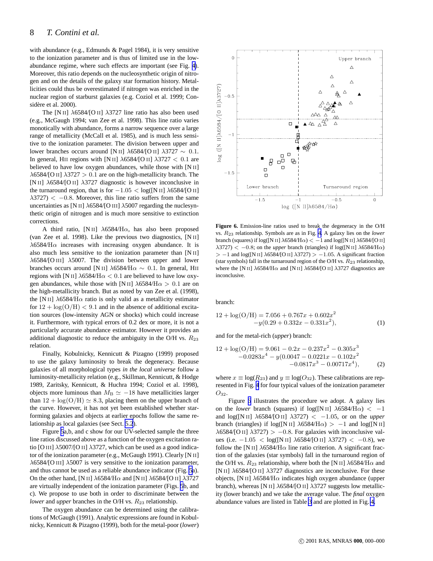<span id="page-7-0"></span>with abundance (e.g., Edmunds & Pagel 1984), it is very sensitive to the ionization parameter and is thus of limited use in the lowabundance regime, where such effects are important (see Fig. [4\)](#page-5-0). Moreover, this ratio depends on the nucleosynthetic origin of nitrogen and on the details of the galaxy star formation history. Metallicities could thus be overestimated if nitrogen was enriched in the nuclear region of starburst galaxies (e.g. Coziol et al. 1999; Considère et al. 2000).

The [N II]  $\lambda$ 6584/[O II]  $\lambda$ 3727 line ratio has also been used (e.g., McGaugh 1994; van Zee et al. 1998). This line ratio varies monotically with abundance, forms a narrow sequence over a large range of metallicity (McCall et al. 1985), and is much less sensitive to the ionization parameter. The division between upper and lower branches occurs around [N II]  $\lambda$ 6584/[O II]  $\lambda$ 3727 ∼ 0.1. In general, HII regions with [N II]  $\lambda$ 6584/[O II]  $\lambda$ 3727 < 0.1 are believed to have low oxygen abundances, while those with [N II]  $\lambda$ 6584/[O II]  $\lambda$ 3727 > 0.1 are on the high-metallicity branch. The [N II] λ6584/[O II] λ3727 diagnostic is however inconclusive in the turnaround region, that is for  $-1.05 < log([N II] \lambda 6584/[O II]$  $\lambda$ 3727)  $\lt$  -0.8. Moreover, this line ratio suffers from the same uncertainties as [N II]  $\lambda$ 6584/[O III]  $\lambda$ 5007 regarding the nuclesynthetic origin of nitrogen and is much more sensitive to extinction corrections.

A third ratio, [N II]  $\lambda$ 6584/H $\alpha$ , has also been proposed (van Zee et al. 1998). Like the previous two diagnostics, [N II]  $\lambda$ 6584/H $\alpha$  increases with increasing oxygen abundance. It is also much less sensitive to the ionization parameter than [N II] λ6584/[O III] λ5007. The division between upper and lower branches occurs around [N II]  $\lambda$ 6584/H $\alpha \sim 0.1$ . In general, HII regions with [N II]  $\lambda$ 6584/H $\alpha$  < 0.1 are believed to have low oxygen abundances, while those with [N II]  $\lambda$ 6584/H $\alpha$  > 0.1 are on the high-metallicity branch. But as noted by van Zee et al. (1998), the [N II]  $\lambda$ 6584/H $\alpha$  ratio is only valid as a metallicity estimator for  $12 + \log(O/H) < 9.1$  and in the absence of additional excitation sources (low-intensity AGN or shocks) which could increase it. Furthermore, with typical errors of 0.2 dex or more, it is not a particularly accurate abundance estimator. However it provides an additional diagnostic to reduce the ambiguity in the O/H vs.  $R_{23}$ relation.

Finally, Kobulnicky, Kennicutt & Pizagno (1999) proposed to use the galaxy luminosity to break the degeneracy. Because galaxies of all morphological types *in the local universe* follow a luminosity-metallicity relation (e.g., Skillman, Kennicutt, & Hodge 1989, Zaritsky, Kennicutt, & Huchra 1994; Coziol et al. 1998), objects more luminous than  $M<sub>B</sub> \simeq -18$  have metallicities larger than  $12 + \log(O/H) \simeq 8.3$ , placing them on the upper branch of the curve. However, it has not yet been established whether starforming galaxies and objects at earlier epochs follow the same relationship as local galaxies (see Sect. [5.2](#page-11-0)).

Figure [5](#page-6-0)a,b, and c show for our UV-selected sample the three line ratios discussed above as a function of the oxygen excitation ratio [O III]  $\lambda$ 5007/[O II]  $\lambda$ 3727, which can be used as a good indicator of the ionization parameter (e.g., McGaugh 1991). Clearly [N II]  $\lambda$ 6584/[O III]  $\lambda$ 5007 is very sensitive to the ionization parameter, and thus cannot be used as a reliable abundance indicator (Fig. [5a](#page-6-0)). On the other hand, [N II]  $\lambda$ 6584/H $\alpha$  and [N II]  $\lambda$ 6584/[O II]  $\lambda$ 3727 are virtually independent of the ionization parameter (Figs. [5](#page-6-0)b, and c). We propose to use both in order to discriminate between the *lower* and *upper* branches in the O/H vs.  $R_{23}$  relationship.

The oxygen abundance can be determined using the calibrations of McGaugh (1991). Analytic expressions are found in Kobulnicky, Kennicutt & Pizagno (1999), both for the metal-poor (*lower*)



**Figure 6.** Emission-line ratios used to break the degeneracy in the O/H vs. R<sup>23</sup> relationship. Symbols are as in Fig. [4](#page-5-0). A galaxy lies on the *lower* branch (squares) if log([N II]  $\lambda$ 6584/H $\alpha$ ) < -1 and log([N II]  $\lambda$ 6584/[O II]  $\lambda$ 3727) < -0.8; on the *upper* branch (triangles) if log([N II]  $\lambda$ 6584/H $\alpha$ )  $> -1$  and log([N II]  $\lambda$ 6584/[O II]  $\lambda$ 3727) > -1.05. A significant fraction (star symbols) fall in the turnaround region of the O/H vs.  $R_{23}$  relationship, where the [N II]  $\lambda$ 6584/H $\alpha$  and [N II]  $\lambda$ 6584/[O II]  $\lambda$ 3727 diagnostics are inconclusive.

branch:

$$
12 + \log(O/H) = 7.056 + 0.767x + 0.602x^{2}
$$
  
-y(0.29 + 0.332x - 0.331x<sup>2</sup>), (1)

and for the metal-rich (*upper*) branch:

$$
12 + \log(O/H) = 9.061 - 0.2x - 0.237x^{2} - 0.305x^{3}
$$
  
-0.0283x<sup>4</sup> - y(0.0047 - 0.0221x - 0.102x<sup>2</sup>  
-0.0817x<sup>3</sup> - 0.00717x<sup>4</sup>), (2)

where  $x \equiv \log(R_{23})$  and  $y \equiv \log(O_{32})$ . These calibrations are represented in Fig. [4](#page-5-0) for four typical values of the ionization parameter  $O_{32}$ .

Figure 6 illustrates the procedure we adopt. A galaxy lies on the *lower* branch (squares) if  $log([N II] \lambda 6584/H\alpha) < -1$ and  $log([N II] \lambda 6584/[O II] \lambda 3727) < -1.05$ , or on the *upper* branch (triangles) if  $log([N II] \lambda 6584/H\alpha) > -1$  and  $log([N II]$  $\lambda$ 6584/[O II]  $\lambda$ 3727) > −0.8. For galaxies with inconclusive values (i.e. −1.05 < log([N II]  $\lambda$ 6584/[O II]  $\lambda$ 3727) < −0.8), we follow the [N II]  $\lambda$ 6584/H $\alpha$  line ratio criterion. A significant fraction of the galaxies (star symbols) fall in the turnaround region of the O/H vs.  $R_{23}$  relationship, where both the [N II]  $\lambda$ 6584/H $\alpha$  and [N II]  $\lambda$ 6584/[O II]  $\lambda$ 3727 diagnostics are inconclusive. For these objects, [N II]  $\lambda$ 6584/H $\alpha$  indicates high oxygen abundance (upper branch), whereas [N II]  $\lambda$ 6584/[O II]  $\lambda$ 3727 suggests low metallicity (lower branch) and we take the average value. The *final* oxygen abundance values are listed in Table [3](#page-16-0) and are plotted in Fig. [4.](#page-5-0)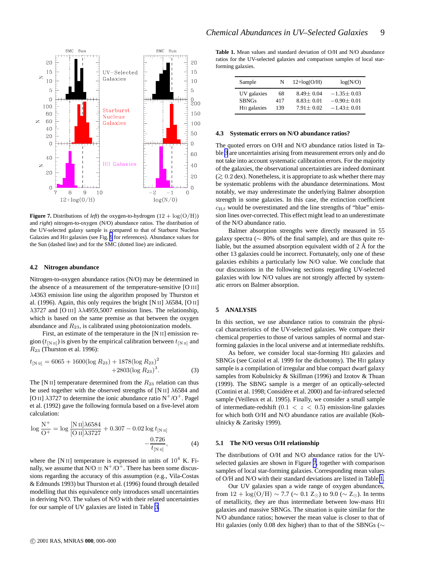<span id="page-8-0"></span>

**Figure 7.** Distributions of *left*) the oxygen-to-hydrogen  $(12 + \log(O/H))$ and *right*) nitrogen-to-oxygen (N/O) abundance ratios. The distribution of the UV-selected galaxy sample is compared to that of Starburst Nucleus Galaxies and HII galaxies (see Fig. [9](#page-10-0) for references). Abundance values for the Sun (dashed line) and for the SMC (dotted line) are indicated.

#### **4.2 Nitrogen abundance**

Nitrogen-to-oxygen abundance ratios (N/O) may be determined in the absence of a measurement of the temperature-sensitive [O III] λ4363 emission line using the algorithm proposed by Thurston et al. (1996). Again, this only requires the bright [N II]  $\lambda$ 6584, [O II]  $\lambda$ 3727 and [O III]  $\lambda\lambda$ 4959,5007 emission lines. The relationship, which is based on the same premise as that between the oxygen abundance and  $R_{23}$ , is calibrated using photoionization models.

First, an estimate of the temperature in the [N II] emission region ( $t_{\text{[N II]}}$ ) is given by the empirical calibration between  $t_{\text{[N II]}}$  and  $R_{23}$  (Thurston et al. 1996):

$$
t_{\text{[N\,\text{II}]}}=6065 + 1600(\log R_{23}) + 1878(\log R_{23})^2 + 2803(\log R_{23})^3. \tag{3}
$$

The [N II] temperature determined from the  $R_{23}$  relation can thus be used together with the observed strengths of [N II]  $\lambda$ 6584 and [O II]  $\lambda$ 3727 to determine the ionic abundance ratio N<sup>+</sup>/O<sup>+</sup>. Pagel et al. (1992) gave the following formula based on a five-level atom calculation:

$$
\log \frac{N^{+}}{O^{+}} = \log \frac{[N \text{ II}]\lambda 6584}{[O \text{ II}]\lambda 3727} + 0.307 - 0.02 \log t_{[N \text{ II}]}
$$

$$
-\frac{0.726}{t_{[N \text{ II}]}}, \tag{4}
$$

where the [N II] temperature is expressed in units of  $10^4$  K. Finally, we assume that  $N/O \equiv N^+/O^+$ . There has been some discussions regarding the accuracy of this assumption (e.g., Vila-Costas & Edmunds 1993) but Thurston et al. (1996) found through detailed modelling that this equivalence only introduces small uncertainties in deriving N/O. The values of N/O with their related uncertainties for our sample of UV galaxies are listed in Table [3.](#page-16-0)

**Table 1.** Mean values and standard deviation of O/H and N/O abundance ratios for the UV-selected galaxies and comparison samples of local starforming galaxies.

| Sample                   | N   | $12 + log(O/H)$ | log(N/O)         |  |  |
|--------------------------|-----|-----------------|------------------|--|--|
| UV galaxies              | 68  | $8.49 + 0.04$   | $-1.35 \pm 0.03$ |  |  |
| <b>SBNGs</b>             | 417 | $8.83 \pm 0.01$ | $-0.90 \pm 0.01$ |  |  |
| H <sub>II</sub> galaxies | 139 | $7.91 + 0.02$   | $-1.43 \pm 0.01$ |  |  |

#### **4.3 Systematic errors on N/O abundance ratios?**

The quoted errors on O/H and N/O abundance ratios listed in Table [3](#page-16-0) are uncertainties arising from measurement errors only and do not take into account systematic calibration errors. For the majority of the galaxies, the observational uncertainties are indeed dominant (>∼ 0.2 dex). Nonetheless, it is appropriate to ask whether there may be systematic problems with the abundance determinations. Most notably, we may underestimate the underlying Balmer absorption strength in some galaxies. In this case, the extinction coefficient  $c_{\text{H}\beta}$  would be overestimated and the line strengths of "blue" emission lines over-corrected. This effect might lead to an underestimate of the N/O abundance ratio.

Balmer absorption strengths were directly measured in 55 galaxy spectra (∼ 80% of the final sample), and are thus quite reliable, but the assumed absorption equivalent width of  $2 \text{ Å}$  for the other 13 galaxies could be incorrect. Fortunately, only one of these galaxies exhibits a particularly low N/O value. We conclude that our discussions in the following sections regarding UV-selected galaxies with low N/O values are not strongly affected by systematic errors on Balmer absorption.

#### **5 ANALYSIS**

In this section, we use abundance ratios to constrain the physical characteristics of the UV-selected galaxies. We compare their chemical properties to those of various samples of normal and starforming galaxies in the local universe and at intermediate redshifts.

As before, we consider local star-forming HII galaxies and SBNGs (see Coziol et al. 1999 for the dichotomy). The HII galaxy sample is a compilation of irregular and blue compact dwarf galaxy samples from Kobulnicky & Skillman (1996) and Izotov & Thuan (1999). The SBNG sample is a merger of an optically-selected (Contini et al. 1998; Considère et al. 2000) and far-infrared selected sample (Veilleux et al. 1995). Finally, we consider a small sample of intermediate-redshift  $(0.1 < z < 0.5)$  emission-line galaxies for which both O/H and N/O abundance ratios are available (Kobulnicky & Zaritsky 1999).

## **5.1 The N/O versus O/H relationship**

The distributions of O/H and N/O abundance ratios for the UVselected galaxies are shown in Figure 7, together with comparison samples of local star-forming galaxies. Corresponding mean values of O/H and N/O with their standard deviations are listed in Table 1.

Our UV galaxies span a wide range of oxygen abundances, from  $12 + \log(O/H) \sim 7.7 \approx 0.1 Z_{\odot}$ ) to 9.0 ( $\sim Z_{\odot}$ ). In terms of metallicity, they are thus intermediate between low-mass HII galaxies and massive SBNGs. The situation is quite similar for the N/O abundance ratios; however the mean value is closer to that of HII galaxies (only 0.08 dex higher) than to that of the SBNGs (∼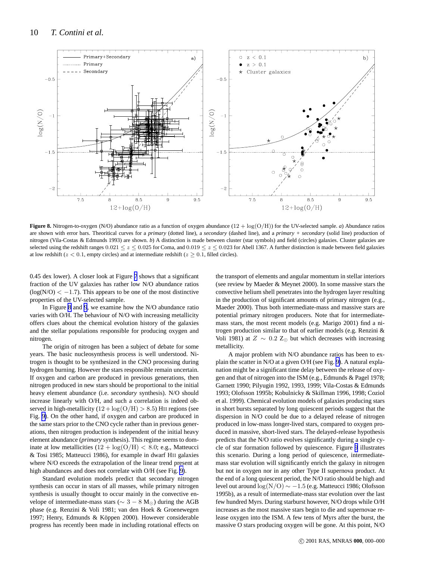<span id="page-9-0"></span>

**Figure 8.** Nitrogen-to-oxygen (N/O) abundance ratio as a function of oxygen abundance (12 + log(O/H)) for the UV-selected sample. *a*) Abundance ratios are shown with error bars. Theoritical curves for a *primary* (dotted line), a *secondary* (dashed line), and a *primary + secondary* (solid line) production of nitrogen (Vila-Costas & Edmunds 1993) are shown. *b*) A distinction is made between cluster (star symbols) and field (circles) galaxies. Cluster galaxies are selected using the redshift ranges  $0.021 \le z \le 0.025$  for Coma, and  $0.019 \le z \le 0.023$  for Abell 1367. A further distinction is made between field galaxies at low redshift ( $z < 0.1$ , empty circles) and at intermediate redshift ( $z > 0.1$ , filled circles).

0.45 dex lower). A closer look at Figure [7](#page-8-0) shows that a significant fraction of the UV galaxies has rather low N/O abundance ratios  $(log(N/O) < -1.7)$ . This appears to be one of the most distinctive properties of the UV-selected sample.

In Figure 8 and [9](#page-10-0), we examine how the N/O abundance ratio varies with O/H. The behaviour of N/O with increasing metallicity offers clues about the chemical evolution history of the galaxies and the stellar populations responsible for producing oxygen and nitrogen.

The origin of nitrogen has been a subject of debate for some years. The basic nucleosynthesis process is well understood. Nitrogen is thought to be synthesized in the CNO processing during hydrogen burning. However the stars responsible remain uncertain. If oxygen and carbon are produced in previous generations, then nitrogen produced in new stars should be proportional to the initial heavy element abundance (i.e. *secondary* synthesis). N/O should increase linearly with O/H, and such a correlation is indeed observed in high-metallicity  $(12 + \log(O/H) > 8.5)$  HII regions (see Fig. [9\)](#page-10-0). On the other hand, if oxygen and carbon are produced in the same stars prior to the CNO cycle rather than in previous generations, then nitrogen production is independent of the initial heavy element abundance (*primary* synthesis). This regime seems to dominate at low metallicities  $(12 + \log(O/H) < 8.0; e.g.,$  Matteucci & Tosi 1985; Matteucci 1986), for example in dwarf HII galaxies where N/O exceeds the extrapolation of the linear trend present at high abundances and does not correlate with O/H (see Fig. [9\)](#page-10-0).

Standard evolution models predict that secondary nitrogen synthesis can occur in stars of all masses, while primary nitrogen synthesis is usually thought to occur mainly in the convective envelope of intermediate-mass stars ( $\sim 3 - 8$  M<sub>☉</sub>) during the AGB phase (e.g. Renzini & Voli 1981; van den Hoek & Groenewegen 1997; Henry, Edmunds & Köppen 2000). However considerable progress has recently been made in including rotational effects on the transport of elements and angular momentum in stellar interiors (see review by Maeder & Meynet 2000). In some massive stars the convective helium shell penetrates into the hydrogen layer resulting in the production of significant amounts of primary nitrogen (e.g., Maeder 2000). Thus both intermediate-mass and massive stars are potential primary nitrogen producers. Note that for intermediatemass stars, the most recent models (e.g. Marigo 2001) find a nitrogen production similar to that of earlier models (e.g. Renzini & Voli 1981) at  $Z \sim 0.2$  Z<sub>☉</sub> but which decreases with increasing metallicity.

A major problem with N/O abundance ratios has been to explain the scatter in N/O at a given O/H (see Fig. [9\)](#page-10-0). A natural explanation might be a significant time delay between the release of oxygen and that of nitrogen into the ISM (e.g., Edmunds & Pagel 1978; Garnett 1990; Pilyugin 1992, 1993, 1999; Vila-Costas & Edmunds 1993; Olofsson 1995b; Kobulnicky & Skillman 1996, 1998; Coziol et al. 1999). Chemical evolution models of galaxies producing stars in short bursts separated by long quiescent periods suggest that the dispersion in N/O could be due to a delayed release of nitrogen produced in low-mass longer-lived stars, compared to oxygen produced in massive, short-lived stars. The delayed-release hypothesis predicts that the N/O ratio evolves significantly during a single cycle of star formation followed by quiescence. Figure [9](#page-10-0) illustrates this scenario. During a long period of quiescence, intermediatemass star evolution will significantly enrich the galaxy in nitrogen but not in oxygen nor in any other Type II supernova product. At the end of a long quiescent period, the N/O ratio should be high and level out around log(N/O) ∼ −1.5 (e.g. Matteucci 1986; Olofsson 1995b), as a result of intermediate-mass star evolution over the last few hundred Myrs. During starburst however, N/O drops while O/H increases as the most massive stars begin to die and supernovae release oxygen into the ISM. A few tens of Myrs after the burst, the massive O stars producing oxygen will be gone. At this point, N/O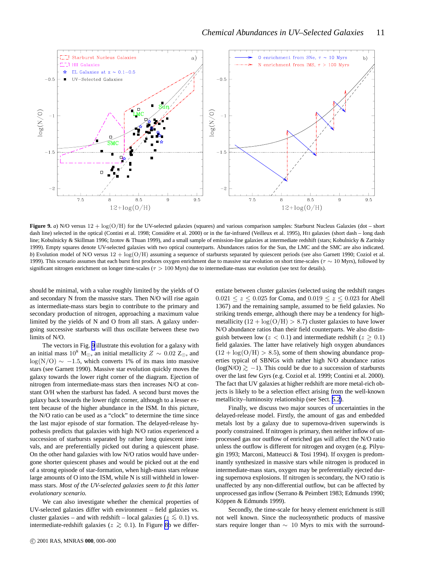<span id="page-10-0"></span>

**Figure 9.** *a*) N/O versus  $12 + \log(O/H)$  for the UV-selected galaxies (squares) and various comparison samples: Starburst Nucleus Galaxies (dot – short dash line) selected in the optical (Contini et al. 1998; Considère et al. 2000) or in the far-infrared (Veilleux et al. 1995), HII galaxies (short dash – long dash line; Kobulnicky & Skillman 1996; Izotov & Thuan 1999), and a small sample of emission-line galaxies at intermediate redshift (stars; Kobulnicky & Zaritsky 1999). Empty squares denote UV-selected galaxies with two optical counterparts. Abundances ratios for the Sun, the LMC and the SMC are also indicated. *b*) Evolution model of N/O versus  $12 + \log(O/H)$  assuming a sequence of starbursts separated by quiescent periods (see also Garnett 1990; Coziol et al. 1999). This scenario assumes that each burst first produces oxygen enrichment due to massive star evolution on short time-scales ( $\tau \sim 10$  Myrs), followed by significant nitrogen enrichment on longer time-scales ( $\tau > 100$  Myrs) due to intermediate-mass star evolution (see text for details).

should be minimal, with a value roughly limited by the yields of O and secondary N from the massive stars. Then N/O will rise again as intermediate-mass stars begin to contribute to the primary and secondary production of nitrogen, approaching a maximum value limited by the yields of N and O from all stars. A galaxy undergoing successive starbursts will thus oscillate between these two limits of N/O.

The vectors in Fig. 9 illustrate this evolution for a galaxy with an initial mass  $10^8$  M⊙, an initial metallicity  $Z \sim 0.02$  Z<sub>☉</sub>, and  $log(N/O) \sim -1.5$ , which converts 1% of its mass into massive stars (see Garnett 1990). Massive star evolution quickly moves the galaxy towards the lower right corner of the diagram. Ejection of nitrogen from intermediate-mass stars then increases N/O at constant O/H when the starburst has faded. A second burst moves the galaxy back towards the lower right corner, although to a lesser extent because of the higher abundance in the ISM. In this picture, the N/O ratio can be used as a "clock" to determine the time since the last major episode of star formation. The delayed-release hypothesis predicts that galaxies with high N/O ratios experienced a succession of starbursts separated by rather long quiescent intervals, and are preferentially picked out during a quiescent phase. On the other hand galaxies with low N/O ratios would have undergone shorter quiescent phases and would be picked out at the end of a strong episode of star-formation, when high-mass stars release large amounts of O into the ISM, while N is still withheld in lowermass stars. *Most of the UV-selected galaxies seem to fit this latter evolutionary scenario.*

We can also investigate whether the chemical properties of UV-selected galaxies differ with environment – field galaxies vs. cluster galaxies – and with redshift – local galaxies ( $z \lesssim 0.1$ ) vs. intermediate-redshift galaxies ( $z \gtrsim 0.1$ ). In Figure [8b](#page-9-0) we differ-

entiate between cluster galaxies (selected using the redshift ranges  $0.021 \le z \le 0.025$  for Coma, and  $0.019 \le z \le 0.023$  for Abell 1367) and the remaining sample, assumed to be field galaxies. No striking trends emerge, although there may be a tendency for highmetallicity  $(12 + \log(O/H) > 8.7)$  cluster galaxies to have lower N/O abundance ratios than their field counterparts. We also distinguish between low ( $z < 0.1$ ) and intermediate redshift ( $z \ge 0.1$ ) field galaxies. The latter have relatively high oxygen abundances  $(12 + \log(O/H) > 8.5)$ , some of them showing abundance properties typical of SBNGs with rather high N/O abundance ratios  $(log(N/O) \gtrsim −1)$ . This could be due to a succession of starbursts over the last few Gyrs (e.g. Coziol et al. 1999; Contini et al. 2000). The fact that UV galaxies at higher redshift are more metal-rich objects is likely to be a selection effect arising from the well-known metallicity–luminosity relationship (see Sect. [5.2\)](#page-11-0).

Finally, we discuss two major sources of uncertainties in the delayed-release model. Firstly, the amount of gas and embedded metals lost by a galaxy due to supernova-driven superwinds is poorly constrained. If nitrogen is primary, then neither inflow of unprocessed gas nor outflow of enriched gas will affect the N/O ratio unless the outflow is different for nitrogen and oxygen (e.g. Pilyugin 1993; Marconi, Matteucci & Tosi 1994). If oxygen is predominantly synthesized in massive stars while nitrogen is produced in intermediate-mass stars, oxygen may be preferentially ejected during supernova explosions. If nitrogen is secondary, the N/O ratio is unaffected by any non-differential outflow, but can be affected by unprocessed gas inflow (Serrano & Peimbert 1983; Edmunds 1990; Köppen & Edmunds 1999).

Secondly, the time-scale for heavy element enrichment is still not well known. Since the nucleosynthetic products of massive stars require longer than  $\sim$  10 Myrs to mix with the surround-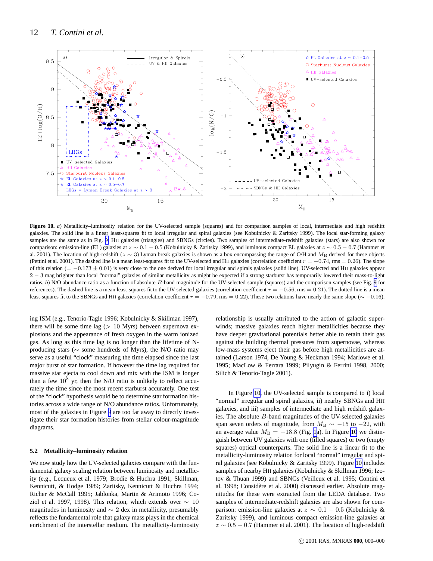<span id="page-11-0"></span>

Figure 10. *a*) Metallicity–luminosity relation for the UV-selected sample (squares) and for comparison samples of local, intermediate and high redshift galaxies. The solid line is a linear least-squares fit to local irregular and spiral galaxies (see Kobulnicky & Zaritsky 1999). The local star-forming galaxy samples are the same as in Fig. [9:](#page-10-0) HII galaxies (triangles) and SBNGs (circles). Two samples of intermediate-redshift galaxies (stars) are also shown for comparison: emission-line (EL) galaxies at  $z \sim 0.1 - 0.5$  (Kobulnicky & Zaritsky 1999), and luminous compact EL galaxies at  $z \sim 0.5 - 0.7$  (Hammer et al. 2001). The location of high-redshift ( $z \sim 3$ ) Lyman break galaxies is shown as a box encompassing the range of O/H and  $M_B$  derived for these objects (Pettini et al. 2001). The dashed line is a mean least-squares fit to the UV-selected and HII galaxies (correlation coefficient  $r = -0.74$ , rms = 0.26). The slope of this relation (=  $-0.173 \pm 0.01$ ) is very close to the one derived for local irregular and spirals galaxies (solid line). UV-selected and HII galaxies appear 2 – 3 mag brighter than local "normal" galaxies of similar metallicity as might be expected if a strong starburst has temporarily lowered their mass-to-light ratios. *b*) N/O abundance ratio as a function of absolute B-band magnitude for the UV-selected sample (squares) and the comparison samples (see Fig. [9](#page-10-0) for references). The dashed line is a mean least-squares fit to the UV-selected galaxies (correlation coefficient  $r = -0.56$ , rms = 0.21). The dotted line is a mean least-squares fit to the SBNGs and HII galaxies (correlation coefficient  $r = -0.79$ , rms = 0.22). These two relations have nearly the same slope ( $\sim -0.16$ ).

ing ISM (e.g., Tenorio-Tagle 1996; Kobulnicky & Skillman 1997), there will be some time lag  $(> 10$  Myrs) between supernova explosions and the appearance of fresh oxygen in the warm ionized gas. As long as this time lag is no longer than the lifetime of Nproducing stars (∼ some hundreds of Myrs), the N/O ratio may serve as a useful "clock" measuring the time elapsed since the last major burst of star formation. If however the time lag required for massive star ejecta to cool down and mix with the ISM is longer than a few  $10^8$  yr, then the N/O ratio is unlikely to reflect accurately the time since the most recent starburst accurately. One test of the "clock" hypothesis would be to determine star formation histories across a wide range of N/O abundance ratios. Unfortunately, most of the galaxies in Figure [9](#page-10-0) are too far away to directly investigate their star formation histories from stellar colour-magnitude diagrams.

## **5.2 Metallicity–luminosity relation**

We now study how the UV-selected galaxies compare with the fundamental galaxy scaling relation between luminosity and metallicity (e.g., Lequeux et al. 1979; Brodie & Huchra 1991; Skillman, Kennicutt, & Hodge 1989; Zaritsky, Kennicutt & Huchra 1994; Richer & McCall 1995; Jablonka, Martin & Arimoto 1996; Coziol et al. 1997, 1998). This relation, which extends over  $\sim 10$ magnitudes in luminosity and  $\sim$  2 dex in metallicity, presumably reflects the fundamental role that galaxy mass plays in the chemical enrichment of the interstellar medium. The metallicity-luminosity

relationship is usually attributed to the action of galactic superwinds; massive galaxies reach higher metallicities because they have deeper gravitational potentials better able to retain their gas against the building thermal pressures from supernovae, whereas low-mass systems eject their gas before high metallicities are attained (Larson 1974, De Young & Heckman 1994; Marlowe et al. 1995; MacLow & Ferrara 1999; Pilyugin & Ferrini 1998, 2000; Silich & Tenorio-Tagle 2001).

In Figure 10, the UV-selected sample is compared to i) local "normal" irregular and spiral galaxies, ii) nearby SBNGs and HII galaxies, and iii) samples of intermediate and high redshift galaxies. The absolute B-band magnitudes of the UV-selected galaxies span seven orders of magnitude, from  $M_{\rm B} \sim -15$  to  $-22$ , with an average value  $M_{\rm B} = -18.8$  (Fig. [1a](#page-2-0)). In Figure 10 we distinguish between UV galaxies with one (filled squares) or two (empty squares) optical counterparts. The solid line is a linear fit to the metallicity-luminosity relation for local "normal" irregular and spiral galaxies (see Kobulnicky & Zaritsky 1999). Figure 10 includes samples of nearby HII galaxies (Kobulnicky & Skillman 1996; Izotov & Thuan 1999) and SBNGs (Veilleux et al. 1995; Contini et al. 1998; Considère et al. 2000) discussed earlier. Absolute magnitudes for these were extracted from the LEDA database. Two samples of intermediate-redshift galaxies are also shown for comparison: emission-line galaxies at  $z \sim 0.1 - 0.5$  (Kobulnicky & Zaritsky 1999), and luminous compact emission-line galaxies at  $z \sim 0.5 - 0.7$  (Hammer et al. 2001). The location of high-redshift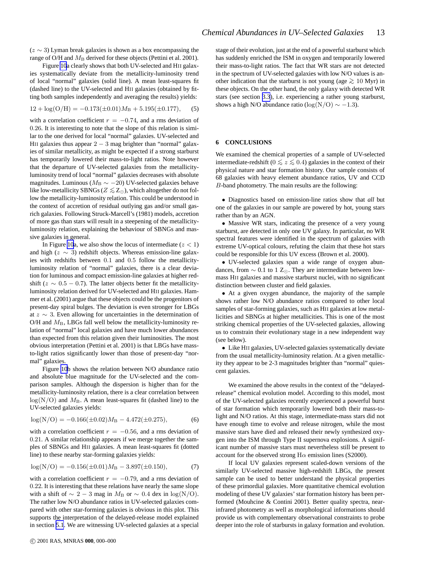<span id="page-12-0"></span>Figure [10](#page-11-0)a clearly shows that both UV-selected and HII galaxies systematically deviate from the metallicity-luminosity trend of local "normal" galaxies (solid line). A mean least-squares fit (dashed line) to the UV-selected and HII galaxies (obtained by fitting both samples independently and averaging the results) yields:

$$
12 + \log(O/H) = -0.173(\pm 0.01)MB + 5.195(\pm 0.177),
$$
 (5)

with a correlation coefficient  $r = -0.74$ , and a rms deviation of 0.26. It is interesting to note that the slope of this relation is similar to the one derived for local "normal" galaxies. UV-selected and HII galaxies thus appear  $2 - 3$  mag brighter than "normal" galaxies of similar metallicity, as might be expected if a strong starburst has temporarily lowered their mass-to-light ratios. Note however that the departure of UV-selected galaxies from the metallicityluminosity trend of local "normal" galaxies decreases with absolute magnitudes. Luminous ( $M_B \sim -20$ ) UV-selected galaxies behave like low-metallicity SBNGs ( $Z \lesssim Z_{\odot}$ ), which altogether do not follow the metallicity-luminosity relation. This could be understood in the context of accretion of residual outlying gas and/or small gasrich galaxies. Following Struck-Marcell's (1981) models, accretion of more gas than stars will result in a steepening of the metallicityluminosity relation, explaining the behaviour of SBNGs and massive galaxies in general.

In Figure [10](#page-11-0)a, we also show the locus of intermediate  $(z < 1)$ and high ( $z \sim 3$ ) redshift objects. Whereas emission-line galaxies with redshifts between 0.1 and 0.5 follow the metallicityluminosity relation of "normal" galaxies, there is a clear deviation for luminous and compact emission-line galaxies at higher redshift ( $z \sim 0.5 - 0.7$ ). The latter objects better fit the metallicityluminosity relation derived for UV-selected and HII galaxies. Hammer et al. (2001) argue that these objects could be the progenitors of present-day spiral bulges. The deviation is even stronger for LBGs at z ∼ 3. Even allowing for uncertainties in the determination of O/H and  $M_B$ , LBGs fall well below the metallicity-luminosity relation of "normal" local galaxies and have much lower abundances than expected from this relation given their luminosities. The most obvious interpretation (Pettini et al. 2001) is that LBGs have massto-light ratios significantly lower than those of present-day "normal" galaxies.

Figure [10](#page-11-0)b shows the relation between N/O abundance ratio and absolute blue magnitude for the UV-selected and the comparison samples. Although the dispersion is higher than for the metallicity-luminosity relation, there is a clear correlation between  $log(N/O)$  and  $M<sub>B</sub>$ . A mean least-squares fit (dashed line) to the UV-selected galaxies yields:

$$
log(N/O) = -0.166(\pm 0.02)M_B - 4.472(\pm 0.275),
$$
 (6)

with a correlation coefficient  $r = -0.56$ , and a rms deviation of 0.21. A similar relationship appears if we merge together the samples of SBNGs and HII galaxies. A mean least-squares fit (dotted line) to these nearby star-forming galaxies yields:

$$
log(N/O) = -0.156(\pm 0.01)MB - 3.897(\pm 0.150),
$$
 (7)

with a correlation coefficient  $r = -0.79$ , and a rms deviation of 0.22. It is interesting that these relations have nearly the same slope with a shift of  $\sim 2 - 3$  mag in  $M_B$  or  $\sim 0.4$  dex in log(N/O). The rather low N/O abundance ratios in UV-selected galaxies compared with other star-forming galaxies is obvious in this plot. This supports the interpretation of the delayed-release model explained in section [5.1](#page-8-0). We are witnessing UV-selected galaxies at a special

stage of their evolution, just at the end of a powerful starburst which has suddenly enriched the ISM in oxygen and temporarily lowered their mass-to-light ratios. The fact that WR stars are not detected in the spectrum of UV-selected galaxies with low N/O values is another indication that the starburst is not young (age  $\geq 10$  Myr) in these objects. On the other hand, the only galaxy with detected WR stars (see section [3.3](#page-4-0)), i.e. experiencing a rather young starburst, shows a high N/O abundance ratio (log(N/O)  $\sim -1.3$ ).

#### **6 CONCLUSIONS**

We examined the chemical properties of a sample of UV-selected intermediate-redshift ( $0 \le z \le 0.4$ ) galaxies in the context of their physical nature and star formation history. Our sample consists of 68 galaxies with heavy element abundance ratios, UV and CCD B-band photometry. The main results are the following:

• Diagnostics based on emission-line ratios show that *all* but one of the galaxies in our sample are powered by hot, young stars rather than by an AGN.

• Massive WR stars, indicating the presence of a very young starburst, are detected in only one UV galaxy. In particular, no WR spectral features were identified in the spectrum of galaxies with extreme UV-optical colours, refuting the claim that these hot stars could be responsible for this UV excess (Brown et al. 2000).

• UV-selected galaxies span a wide range of oxygen abundances, from  $\sim 0.1$  to 1 Z<sub>⊙</sub>. They are intermediate between lowmass HII galaxies and massive starburst nuclei, with no significant distinction between cluster and field galaxies.

• At a given oxygen abundance, the majority of the sample shows rather low N/O abundance ratios compared to other local samples of star-forming galaxies, such as HII galaxies at low metallicities and SBNGs at higher metallicities. This is one of the most striking chemical properties of the UV-selected galaxies, allowing us to constrain their evolutionary stage in a new independent way (see below).

• Like HII galaxies, UV-selected galaxies systematically deviate from the usual metallicity-luminosity relation. At a given metallicity they appear to be 2-3 magnitudes brighter than "normal" quiescent galaxies.

We examined the above results in the context of the "delayedrelease" chemical evolution model. According to this model, most of the UV-selected galaxies recently experienced a powerful burst of star formation which temporarily lowered both their mass-tolight and N/O ratios. At this stage, intermediate-mass stars did not have enough time to evolve and release nitrogen, while the most massive stars have died and released their newly synthesized oxygen into the ISM through Type II supernova explosions. A significant number of massive stars must nevertheless still be present to account for the observed strong  $H\alpha$  emission lines (S2000).

If local UV galaxies represent scaled-down versions of the similarly UV-selected massive high-redshift LBGs, the present sample can be used to better understand the physical properties of these primordial galaxies. More quantitative chemical evolution modeling of these UV galaxies' star formation history has been performed (Mouhcine & Contini 2001). Better quality spectra, nearinfrared photometry as well as morphological informations should provide us with complementary observational constraints to probe deeper into the role of starbursts in galaxy formation and evolution.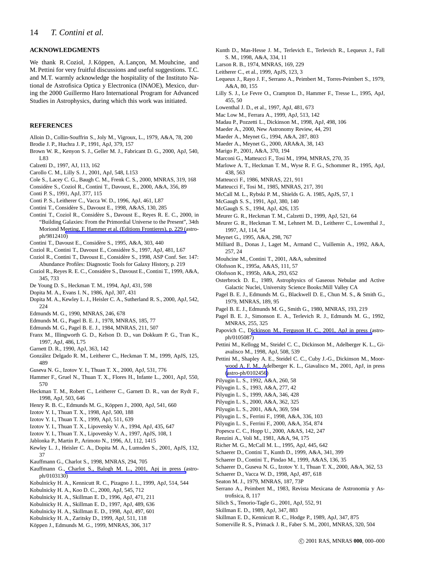## **ACKNOWLEDGMENTS**

We thank R. Coziol, J. Köppen, A. Lançon, M. Mouhcine, and M. Pettini for very fruitful discussions and useful suggestions. T.C. and M.T. warmly acknowledge the hospitality of the Instituto National de Astrofisica Optica y Electronica (INAOE), Mexico, during the 2000 Guillermo Haro International Program for Advanced Studies in Astrophysics, during which this work was initiated.

## **REFERENCES**

- Alloin D., Collin-Souffrin S., Joly M., Vigroux, L., 1979, A&A, 78, 200
- Brodie J. P., Huchra J. P., 1991, ApJ, 379, 157
- Brown W. R., Kenyon S. J., Geller M. J., Fabricant D. G., 2000, ApJ, 540, L83
- Calzetti D., 1997, AJ, 113, 162
- Carollo C. M., Lilly S. J., 2001, ApJ, 548, L153
- Cole S., Lacey C. G., Baugh C. M., Frenk C. S., 2000, MNRAS, 319, 168
- Considère S., Coziol R., Contini T., Davoust, E., 2000, A&A, 356, 89
- Conti P. S., 1991, ApJ, 377, 115
- Conti P. S., Leitherer C., Vacca W. D., 1996, ApJ, 461, L87
- Contini T., Considère S., Davoust E., 1998, A&AS, 130, 285
- Contini T., Coziol R., Considère S., Davoust E., Reyes R. E. C., 2000, in "Building Galaxies: From the Primordial Universe to the Present", 34th Moriond M[eeting, F. Hammer et al. \(Editions Frontieres\), p.](http://arxiv.org/abs/astro-ph/9812410) 229 (astroph/9812410)
- Contini T., Davoust E., Considère S., 1995, A&A, 303, 440
- Coziol R., Contini T., Davoust E., Considère S., 1997, ApJ, 481, L67
- Coziol R., Contini T., Davoust E., Considère S., 1998, ASP Conf. Ser. 147: Abundance Profiles: Diagnostic Tools for Galaxy History, p. 219
- Coziol R., Reyes R. E. C., Considère S., Davoust E., Contini T., 1999, A&A, 345, 733
- De Young D. S., Heckman T. M., 1994, ApJ, 431, 598
- Dopita M. A., Evans I. N., 1986, ApJ, 307, 431
- Dopita M. A., Kewley L. J., Heisler C. A., Sutherland R. S., 2000, ApJ, 542, 224
- Edmunds M. G., 1990, MNRAS, 246, 678
- Edmunds M. G., Pagel B. E. J., 1978, MNRAS, 185, 77
- Edmunds M. G., Pagel B. E. J., 1984, MNRAS, 211, 507
- Franx M., Illingworth G. D., Kelson D. D., van Dokkum P. G., Tran K., 1997, ApJ, 486, L75
- Garnett D. R., 1990, ApJ, 363, 142
- Gonz´alez Delgado R. M., Leitherer C., Heckman T. M., 1999, ApJS, 125, 489
- Guseva N. G., Izotov Y. I., Thuan T. X., 2000, ApJ, 531, 776
- Hammer F., Gruel N., Thuan T. X., Flores H., Infante L., 2001, ApJ, 550, 570
- Heckman T. M., Robert C., Leitherer C., Garnett D. R., van der Rydt F., 1998, ApJ, 503, 646
- Henry R. B. C., Edmunds M. G., Köppen J., 2000, ApJ, 541, 660
- Izotov Y. I., Thuan T. X., 1998, ApJ, 500, 188
- Izotov Y. I., Thuan T. X., 1999, ApJ, 511, 639
- Izotov Y. I., Thuan T. X., Lipovetsky V. A., 1994, ApJ, 435, 647
- Izotov Y. I., Thuan T. X., Lipovetsky V. A., 1997, ApJS, 108, 1
- Jablonka P., Martin P., Arimoto N., 1996, AJ, 112, 1415
- Kewley L. J., Heisler C. A., Dopita M. A., Lumsden S., 2001, ApJS, 132, 37
- Kauffmann G., Charlot S., 1998, MNRAS, 294, 705
- Kauffmann G., [Charlot S., Balogh M. L., 2001, Apj in press \(](http://arxiv.org/abs/astro-ph/0103130)astroph/0103130)
- Kobulnicky H. A., Kennicutt R. C., Pizagno J. L., 1999, ApJ, 514, 544
- Kobulnicky H. A., Koo D. C., 2000, ApJ, 545, 712
- Kobulnicky H. A., Skillman E. D., 1996, ApJ, 471, 211
- Kobulnicky H. A., Skillman E. D., 1997, ApJ, 489, 636
- Kobulnicky H. A., Skillman E. D., 1998, ApJ, 497, 601
- Kobulnicky H. A., Zaritsky D., 1999, ApJ, 511, 118
- Köppen J., Edmunds M. G., 1999, MNRAS, 306, 317
- Kunth D., Mas-Hesse J. M., Terlevich E., Terlevich R., Lequeux J., Fall S. M., 1998, A&A, 334, 11
- Larson R. B., 1974, MNRAS, 169, 229
- Leitherer C., et al., 1999, ApJS, 123, 3
- Lequeux J., Rayo J. F., Serrano A., Peimbert M., Torres-Peimbert S., 1979, A&A, 80, 155
- Lilly S. J., Le Fevre O., Crampton D., Hammer F., Tresse L., 1995, ApJ, 455, 50
- Lowenthal J. D., et al., 1997, ApJ, 481, 673
- Mac Low M., Ferrara A., 1999, ApJ, 513, 142
- Madau P., Pozzetti L., Dickinson M., 1998, ApJ, 498, 106
- Maeder A., 2000, New Astronomy Review, 44, 291
- Maeder A., Meynet G., 1994, A&A, 287, 803
- Maeder A., Meynet G., 2000, ARA&A, 38, 143
- Marigo P., 2001, A&A, 370, 194
- Marconi G., Matteucci F., Tosi M., 1994, MNRAS, 270, 35
- Marlowe A. T., Heckman T. M., Wyse R. F. G., Schommer R., 1995, ApJ, 438, 563
- Matteucci F., 1986, MNRAS, 221, 911
- Matteucci F., Tosi M., 1985, MNRAS, 217, 391
- McCall M. L., Rybski P. M., Shields G. A. 1985, ApJS, 57, 1
- McGaugh S. S., 1991, ApJ, 380, 140
- McGaugh S. S., 1994, ApJ, 426, 135
- Meurer G. R., Heckman T. M., Calzetti D., 1999, ApJ, 521, 64
- Meurer G. R., Heckman T. M., Lehnert M. D., Leitherer C., Lowenthal J., 1997, AJ, 114, 54
- Meynet G., 1995, A&A, 298, 767
- Milliard B., Donas J., Laget M., Armand C., Vuillemin A., 1992, A&A, 257, 24
- Mouhcine M., Contini T., 2001, A&A, submitted
- Olofsson K., 1995a, A&AS, 111, 57
- Olofsson K., 1995b, A&A, 293, 652
- Osterbrock D. E., 1989, Astrophysics of Gaseous Nebulae and Active Galactic Nuclei, University Science Books:Mill Valley CA
- Pagel B. E. J., Edmunds M. G., Blackwell D. E., Chun M. S., & Smith G., 1979, MNRAS, 189, 95
- Pagel B. E. J., Edmunds M. G., Smith G., 1980, MNRAS, 193, 219
- Pagel B. E. J., Simonson E. A., Terlevich R. J., Edmunds M. G., 1992, MNRAS, 255, 325
- Papovich C., [Dickinson M., Ferguson H. C., 2001, ApJ in press](http://arxiv.org/abs/astro-ph/0105087) (astroph/0105087)
- Pettini M., Kellogg M., Steidel C. C., Dickinson M., Adelberger K. L., Giavalisco M., 1998, ApJ, 508, 539
- Pettini M., Shapley A. E., Steidel C. C., Cuby J.-G., Dickinson M., Moorwood A. F. M., Adelberger K. L., Giavalisco M., 2001, ApJ, in press [\(astro-ph/0102456](http://arxiv.org/abs/astro-ph/0102456))
- Pilyugin L. S., 1992, A&A, 260, 58
- Pilyugin L. S., 1993, A&A, 277, 42
- Pilyugin L. S., 1999, A&A, 346, 428
- Pilyugin L. S., 2000, A&A, 362, 325
- Pilyugin L. S., 2001, A&A, 369, 594
- Pilyugin L. S., Ferrini F., 1998, A&A, 336, 103
- Pilyugin L. S., Ferrini F., 2000, A&A, 354, 874
- Popescu C. C., Hopp U., 2000, A&AS, 142, 247
- Renzini A., Voli M., 1981, A&A, 94, 175
- Richer M. G., McCall M. L., 1995, ApJ, 445, 642
- Schaerer D., Contini T., Kunth D., 1999, A&A, 341, 399
- Schaerer D., Contini T., Pindao M., 1999, A&AS, 136, 35
- Schaerer D., Guseva N. G., Izotov Y. I., Thuan T. X., 2000, A&A, 362, 53
- Schaerer D., Vacca W. D., 1998, ApJ, 497, 618
- Seaton M. J., 1979, MNRAS, 187, 73P
- Serrano A., Peimbert M., 1983, Revista Mexicana de Astronomia y Astrofisica, 8, 117
- Silich S., Tenorio-Tagle G., 2001, ApJ, 552, 91
- Skillman E. D., 1989, ApJ, 347, 883
- Skillman E. D., Kennicutt R. C., Hodge P., 1989, ApJ, 347, 875
- Somerville R. S., Primack J. R., Faber S. M., 2001, MNRAS, 320, 504

c 2001 RAS, MNRAS **000**, 000–000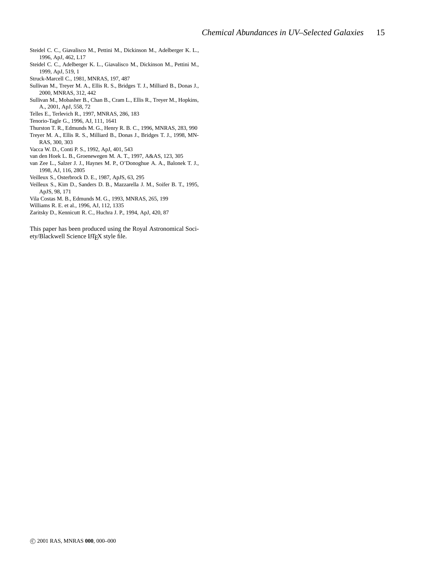- Steidel C. C., Giavalisco M., Pettini M., Dickinson M., Adelberger K. L., 1996, ApJ, 462, L17
- Steidel C. C., Adelberger K. L., Giavalisco M., Dickinson M., Pettini M., 1999, ApJ, 519, 1
- Struck-Marcell C., 1981, MNRAS, 197, 487
- Sullivan M., Treyer M. A., Ellis R. S., Bridges T. J., Milliard B., Donas J., 2000, MNRAS, 312, 442
- Sullivan M., Mobasher B., Chan B., Cram L., Ellis R., Treyer M., Hopkins, A., 2001, ApJ, 558, 72
- Telles E., Terlevich R., 1997, MNRAS, 286, 183
- Tenorio-Tagle G., 1996, AJ, 111, 1641
- Thurston T. R., Edmunds M. G., Henry R. B. C., 1996, MNRAS, 283, 990
- Treyer M. A., Ellis R. S., Milliard B., Donas J., Bridges T. J., 1998, MN-RAS, 300, 303
- Vacca W. D., Conti P. S., 1992, ApJ, 401, 543
- van den Hoek L. B., Groenewegen M. A. T., 1997, A&AS, 123, 305
- van Zee L., Salzer J. J., Haynes M. P., O'Donoghue A. A., Balonek T. J., 1998, AJ, 116, 2805
- Veilleux S., Osterbrock D. E., 1987, ApJS, 63, 295
- Veilleux S., Kim D., Sanders D. B., Mazzarella J. M., Soifer B. T., 1995, ApJS, 98, 171
- Vila Costas M. B., Edmunds M. G., 1993, MNRAS, 265, 199
- Williams R. E. et al., 1996, AJ, 112, 1335
- Zaritsky D., Kennicutt R. C., Huchra J. P., 1994, ApJ, 420, 87

This paper has been produced using the Royal Astronomical Society/Blackwell Science L'TEX style file.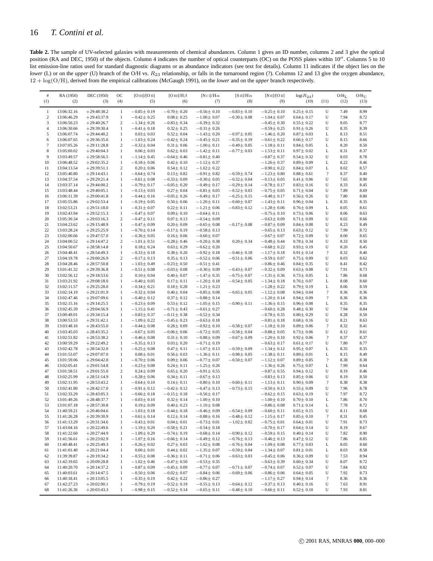<span id="page-15-0"></span>Table 2. The sample of UV-selected galaxies with measurements of chemical abundances. Column 1 gives an ID number, columns 2 and 3 give the optical position (RA and DEC, 1950) of the objects. Column 4 indicates the number of optical counterparts (OC) on the POSS plates within 10′′. Columns 5 to 10 list emission-line ratios used for standard diagnostic diagrams or as abundance indicators (see text for details). Column 11 indicates if the object lies on the *lower* (L) or on the *upper* (U) branch of the O/H vs.  $R_{23}$  relationship, or falls in the turnaround region (?). Columns 12 and 13 give the oxygen abundance, 12 + log(O/H), derived from the empirical calibrations (McGaugh 1991), on the *lower* and on the *upper* branch respectively.

| $\#$             | RA (1950)                  | DEC (1950)                     | ОC                           | [O III]/[O II]                       | $[O III/H$ $\beta$                  | [NII]/ $H\alpha$                     | $[SII]/H\alpha$  | [N II]/[O II]                        | $log(R_{23})$                      |                               | $O/H_L$      | $O/H_{\text{U}}$ |
|------------------|----------------------------|--------------------------------|------------------------------|--------------------------------------|-------------------------------------|--------------------------------------|------------------|--------------------------------------|------------------------------------|-------------------------------|--------------|------------------|
| (1)              | (2)                        | (3)                            | (4)                          | (5)                                  | (6)                                 | (7)                                  | (8)              | (9)                                  | (10)                               | (11)                          | (12)         | (13)             |
| $\mathbf{1}$     | 13:06:32.16                | $+29:48:38.2$                  | $\,1\,$                      | $-0.85 \pm 0.19$                     | $-0.70 \pm 0.20$                    | $-0.56 \pm 0.10$                     | $-0.83 \pm 0.10$ | $-0.25 \pm 0.10$                     | $0.25 \pm 0.15$                    | U                             | 7.49         | 8.99             |
| $\boldsymbol{2}$ | 13:06:46.29                | $+29:43:37.9$                  | $\mathbf{1}$                 | $-0.42 \pm 0.25$                     | $0.08 \pm 0.25$                     | $-1.00 \pm 0.07$                     | $-0.30 \pm 0.08$ | $-1.04 \pm 0.07$                     | $0.64 \pm 0.17$                    | U                             | 7.94         | 8.72             |
| 3                | 13:06:50.23                | $+29:40:26.7$                  | $\overline{c}$               | $-1.34 \pm 0.26$                     | $-0.83 \pm 0.34$                    | $-0.39 \pm 0.32$                     |                  | $-0.45 \pm 0.30$                     | $0.55 \pm 0.22$                    | U                             | 8.05         | 8.77             |
| $\overline{4}$   | 13:06:30.66                | $+29:39:30.4$                  | $\mathbf{1}$                 | $-0.41 \pm 0.18$                     | $0.32 \pm 0.25$                     | $-0.31 \pm 0.26$                     |                  | $-0.59 \pm 0.25$                     | $0.91 \pm 0.26$                    | U                             | 8.35         | 8.39             |
| 5                | 13:06:07.74                | $+29:44:40.2$                  | $\mathbf{1}$                 | $0.03 \pm 0.03$                      | $0.52 \pm 0.04$                     | $-1.43 \pm 0.20$                     | $-0.97 \pm 0.05$ | $-1.46 \pm 0.20$                     | $0.87 \pm 0.03$                    | L                             | 8.13         | 8.51             |
| 6                | 13:06:07.65                | $+29:36:35.6$                  | $\mathbf{1}$                 | $-1.03 \pm 0.24$                     | $-0.42 \pm 0.24$                    | $-0.45 \pm 0.21$                     | $-0.35 \pm 0.19$ | $-0.61 \pm 0.22$                     | $0.66 \pm 0.17$                    | U                             | 8.15         | 8.66             |
| $\tau$           | 13:07:05.26                | $+29:11:28.8$                  | $\overline{c}$               | $-0.32 \pm 0.04$                     | $0.31 \pm 0.06$                     | $-1.00 \pm 0.11$                     | $-0.49 \pm 0.05$ | $-1.18 \pm 0.11$                     | $0.84 \pm 0.05$                    | L                             | 8.20         | 8.50             |
| $\,$ 8 $\,$      | 13:05:00.02                | $+29:40:04.3$                  | $\mathbf{1}$                 | $0.06 \pm 0.03$                      | $0.62 \pm 0.03$                     | $-1.42 \pm 0.11$                     | $-0.77 \pm 0.03$ | $-1.53 \pm 0.11$                     | $0.97 \pm 0.02$                    | L                             | 8.31         | 8.37             |
| 9                | 13:03:49.57                | $+29:58:56.5$                  | $\mathbf{1}$                 | $-1.14 \pm 0.45$                     | $-0.64 \pm 0.46$                    | $-0.81 \pm 0.40$                     |                  | $-0.87 \pm 0.37$                     | $0.54 \pm 0.32$                    | U                             | 8.03         | 8.78             |
| 10               | 13:06:48.52                | $+29:02:35.2$                  | $\mathbf{1}$                 | $-0.18 \pm 0.06$                     | $0.42 \pm 0.10$                     | $-1.12 \pm 0.37$                     |                  | $-1.26 \pm 0.37$                     | $0.89 \pm 0.09$                    | L                             | 8.22         | 8.46             |
| 11               | 13:04:13.54                | $+29:39:51.1$                  | $\boldsymbol{2}$             | $0.20 \pm 0.06$                      | $0.54 \pm 0.12$                     | $-1.02 \pm 0.22$                     |                  | $-0.90 \pm 0.22$                     | $0.84 \pm 0.07$                    | L                             | 8.02         | 8.57             |
| 12               | 13:05:40.80                | $+29:14:43.1$                  | $\mathbf{1}$                 | $-0.64 \pm 0.74$                     | $0.13 \pm 0.82$                     | $-0.91 \pm 0.82$                     | $-0.59 \pm 0.74$ | $-1.23 \pm 0.80$                     | $0.88 \pm 0.61$                    | $\overline{?}$                | 8.37         | 8.40             |
| 13               | 13:04:37.54                | $+29:29:21.4$                  | $\mathbf{1}$                 | $-0.61 \pm 0.08$                     | $-0.33 \pm 0.09$                    | $-0.30 \pm 0.05$                     | $-0.32 \pm 0.04$ | $-0.13 \pm 0.05$                     | $0.41 \pm 0.06$                    | U                             | 7.65         | 8.90             |
| 14               | 13:03:37.14                | $+29:44:00.2$                  | $\mathbf{1}$                 | $-0.79 \pm 0.17$                     | $-0.05 \pm 0.20$                    | $-0.49 \pm 0.17$                     | $-0.29 \pm 0.14$ | $-0.78 \pm 0.17$                     | $0.83 \pm 0.16$                    | U                             | 8.33         | 8.45             |
| 15               | 13:03:48.44                | $+29:40:05.1$                  | $\mathbf{1}$                 | $-0.13 \pm 0.03$                     | $0.27 \pm 0.04$                     | $-0.81 \pm 0.05$                     | $-0.52 \pm 0.03$ | $-0.75 \pm 0.05$                     | $0.71 \pm 0.04$                    | U                             | 7.89         | 8.69             |
| 16               | 13:06:11.39                | $+29:00:41.8$                  | $\mathbf{1}$                 | $-0.44 \pm 0.16$                     | $-0.05 \pm 0.26$                    | $-0.49 \pm 0.17$                     | $-0.25 \pm 0.15$ | $-0.48 \pm 0.17$                     | $0.56 \pm 0.26$                    | U                             | 7.80         | 8.80             |
| 17               | 13:05:55.86                | $+29:02:53.4$                  | $\mathbf{1}$                 | $-0.19 \pm 0.05$                     | $0.50 \pm 0.06$                     | $-1.20 \pm 0.11$                     | $-0.60 \pm 0.07$ | $-1.43 \pm 0.11$                     | $0.96 \pm 0.04$                    | L                             | 8.35         | 8.35             |
| 18               | 13:02:53.21                | $+29:51:18.0$                  | $\mathbf{1}$                 | $-0.31 \pm 0.07$                     | $0.22 \pm 0.11$                     | $-1.21 \pm 0.06$                     | $-0.83 \pm 0.12$ | $-1.28 \pm 0.06$                     | $0.76 \pm 0.09$                    | L                             | 8.05         | 8.61             |
| 19               | 13:02:43.94                | $+29:52:15.3$                  | $\,1\,$                      | $-0.47 \pm 0.07$                     | $0.09 \pm 0.10$                     | $-0.64 \pm 0.11$                     |                  | $-0.75 \pm 0.10$                     | $0.73 \pm 0.06$                    | U                             | 8.06         | 8.63             |
| 20               | 13:05:30.34                | $+29:03:16.3$                  | $\overline{c}$               | $-0.47 \pm 0.11$                     | $0.07 \pm 0.13$                     | $-0.54 \pm 0.09$                     |                  | $-0.63 \pm 0.09$                     | $0.71 \pm 0.09$                    | U                             | 8.02         | 8.66             |
| 21               | 13:04:23.62                | $+29:15:48.9$                  | $\mathbf{1}$                 | $-0.47 \pm 0.09$                     | $0.20 \pm 0.09$                     | $-0.65 \pm 0.08$                     | $-0.17 \pm 0.08$ | $-0.87 \pm 0.09$                     | $0.84 \pm 0.08$                    | U                             | 8.23         | 8.49             |
| 22               | 13:03:28.24                | $+29:25:25.9$                  | $1\,$                        | $-0.70 \pm 0.14$                     | $-0.17 \pm 0.19$                    | $-0.58 \pm 0.13$                     |                  | $-0.65 \pm 0.13$                     | $0.63 \pm 0.12$                    | U                             | 7.99         | 8.72             |
| 23               | 13:02:00.66                | $+29:47:57.0$                  | $\mathbf{1}$                 | $-0.36 \pm 0.05$                     | $0.16 \pm 0.06$                     | $-0.60 \pm 0.07$                     |                  | $-0.67 \pm 0.07$                     | $0.72 \pm 0.09$                    | U                             | 8.00         | 8.65             |
| 24               | 13:04:00.52                | $+29:14:47.2$                  | $\boldsymbol{2}$             | $-1.01 \pm 0.51$                     | $-0.28 \pm 0.46$                    | $-0.20 \pm 0.38$                     | $0.20 \pm 0.34$  | $-0.48 \pm 0.44$                     | $0.78 \pm 0.34$                    | U                             | 8.33         | 8.50             |
| 25               | 13:04:50.67                | $+28:58:14.8$                  | $\mathbf{1}$                 | $0.18 \pm 0.24$                      | $0.63 \pm 0.29$                     | $-0.62 \pm 0.20$                     |                  | $-0.68 \pm 0.22$                     | $0.93 \pm 0.19$                    | U                             | 8.20         | 8.45             |
| 26               | 13:04:48.41                | $+28:54:49.3$                  | $\mathbf{1}$                 | $-0.33 \pm 0.18$                     | $0.38 \pm 0.20$                     | $-0.92 \pm 0.18$                     | $-0.46 \pm 0.18$ | $-1.17 \pm 0.18$                     | $0.91 \pm 0.14$                    | $\overline{?}$                | 8.32         | 8.40             |
| 27               | 13:04:19.78                | $+29:00:26.9$                  | $\boldsymbol{2}$             | $-0.17 \pm 0.13$                     | $0.35 \pm 0.13$                     | $-0.52 \pm 0.06$                     | $-0.51 \pm 0.06$ | $-0.59 \pm 0.07$                     | $0.75 \pm 0.09$                    | U                             | 8.03         | 8.62             |
| 28               | 13:04:28.46                | $+28:57:50.8$                  | $\mathbf{1}$                 | $-1.03 \pm 0.49$                     | $-0.23 \pm 0.50$                    | $-0.51 \pm 0.41$                     |                  | $-0.86 \pm 0.46$                     | $0.84 \pm 0.35$                    | U                             | 8.41         | 8.42             |
| 29               | 13:01:41.32                | $+29:39:36.8$                  | $\mathbf{1}$                 | $-0.51 \pm 0.08$                     | $-0.03 \pm 0.08$                    | $-0.30 \pm 0.09$                     | $-0.43 \pm 0.07$ | $-0.32 \pm 0.09$                     | $0.63 \pm 0.08$                    | U                             | 7.91         | 8.73             |
| 30               | 13:02:56.12                | $+29:18:53.6$                  | $\boldsymbol{2}$             | $0.10 \pm 0.04$                      | $0.40 \pm 0.07$                     | $-1.47 \pm 0.35$                     | $-0.75 \pm 0.07$ | $-1.31 \pm 0.36$                     | $0.73 \pm 0.05$                    | L                             | 7.86         | 8.68             |
| 31               | 13:03:21.92                | $+29:08:18.0$                  | $\mathbf{1}$                 | $-0.40 \pm 0.05$                     | $0.17 \pm 0.11$                     | $-1.20 \pm 0.18$                     | $-0.54 \pm 0.05$ | $-1.34 \pm 0.18$                     | $0.76 \pm 0.07$                    | L                             | 8.08         | 8.60             |
| 32               | 13:02:11.57                | $+29:25:28.0$                  | $\mathbf{1}$                 | $-0.34 \pm 0.21$                     | $0.18 \pm 0.28$                     | $-1.21 \pm 0.23$                     |                  | $-1.28 \pm 0.22$                     | $0.79 \pm 0.19$                    | L                             | 8.06         | 8.59             |
| 33               | 13:02:14.19                | $+29:21:01.9$                  | $\mathbf{1}$                 | $-0.32 \pm 0.04$                     | $0.40 \pm 0.04$                     | $-0.85 \pm 0.08$                     | $-0.65 \pm 0.05$ | $-1.12 \pm 0.08$                     | $0.94 \pm 0.04$                    | $\overline{?}$                | 8.36         | 8.36             |
| 34               | 13:02:47.46                | $+29:07:09.6$                  | $\mathbf{1}$                 | $-0.40 \pm 0.12$                     | $0.37 \pm 0.12$                     | $-0.88 \pm 0.14$                     |                  | $-1.20 \pm 0.14$                     | $0.94 \pm 0.09$                    | $\overline{\mathcal{L}}$      | 8.36         | 8.36             |
| 35               | 13:02:15.16                | $+29:14:25.5$                  | $1\,$                        | $-0.23 \pm 0.09$                     | $0.53 \pm 0.12$                     | $-1.05 \pm 0.15$                     | $-0.90 \pm 0.11$ | $-1.36 \pm 0.15$                     | $0.96 \pm 0.08$                    | L                             | 8.35         | 8.35             |
| 36               | 13:02:45.39                | $+29:04:56.9$                  | $\mathbf{1}$                 | $-1.15 \pm 0.41$                     | $-0.71 \pm 0.43$                    | $-0.61 \pm 0.27$                     |                  | $-0.60 \pm 0.28$                     | $0.48 \pm 0.30$                    | U                             | 7.94         | 8.84             |
| 37               | 13:00:49.01                | $+29:34:15.4$                  | $\mathbf{1}$                 | $-0.83 \pm 0.37$                     | $-0.11 \pm 0.38$                    | $-0.52 \pm 0.34$                     |                  | $-0.78 \pm 0.35$                     | $0.80 \pm 0.29$                    | U                             | 8.28         | 8.50             |
| 38               | 13:00:53.53                | $+29:31:42.1$                  | $1\,$                        | $-1.09 \pm 0.22$                     | $-0.45 \pm 0.23$                    | $-0.63 \pm 0.18$                     |                  | $-0.81 \pm 0.18$                     | $0.68 \pm 0.16$                    | U                             | 8.21         | 8.63             |
| 39               | 13:03:48.16                | $+28:43:55.0$                  | $\mathbf{1}$                 | $-0.44 \pm 0.08$                     | $0.28 \pm 0.09$                     | $-0.92 \pm 0.10$                     | $-0.58 \pm 0.07$ | $-1.18 \pm 0.10$                     | $0.89 \pm 0.06$                    | $\overline{\mathcal{L}}$      | 8.32         | 8.41             |
| 40               | 13:03:45.03                | $+28:43:35.2$                  | $\mathbf{1}$                 | $-0.67 \pm 0.05$                     | $-0.06 \pm 0.06$                    | $-0.72 \pm 0.05$                     | $-0.58 \pm 0.04$ | $-0.88 \pm 0.05$                     | $0.73 \pm 0.06$                    | U                             | 8.12         | 8.61             |
| 41               | 13:02:51.82                | $+28:53:38.2$                  | $\mathbf{1}$                 | $-0.46 \pm 0.08$                     | $0.31 \pm 0.10$                     | $-0.88 \pm 0.09$                     | $-0.67 \pm 0.09$ | $-1.20 \pm 0.10$                     | $0.92 \pm 0.06$                    | $\overline{?}$                | 8.37         | 8.37             |
| 42               | 13:00:59.29                | $+29:22:49.2$                  | $\mathbf{1}$                 | $-0.35 \pm 0.13$                     | $0.03 \pm 0.20$                     | $-0.71 \pm 0.19$                     |                  | $-0.63 \pm 0.17$                     | $0.61 \pm 0.17$                    | U                             | 7.80         | 8.77             |
| 43               | 13:02:42.78                | $+28:54:32.0$                  | $\mathbf{1}$                 | $-0.25 \pm 0.08$                     | $0.47 \pm 0.11$                     | $-1.07 \pm 0.13$                     | $-0.59 \pm 0.09$ | $-1.34 \pm 0.12$                     | $0.95 \pm 0.07$                    | L                             | 8.35         | 8.35             |
| 44               | 13:01:53.07                | $+29:07:07.0$                  | $\,1\,$                      | $0.08 \pm 0.01$                      | $0.56 \pm 0.03$                     | $-1.36 \pm 0.11$                     | $-0.98 \pm 0.05$ | $-1.38 \pm 0.11$                     | $0.89 \pm 0.01$                    | L                             | 8.15         | 8.49             |
| 45               | 13:01:59.06                | $+29:04:42.8$                  | $\mathbf{1}$                 | $-0.70 \pm 0.06$                     | $0.09 \pm 0.06$                     | $-0.77 \pm 0.07$                     | $-0.50 \pm 0.07$ | $-1.12 \pm 0.07$                     | $0.89 \pm 0.05$                    | $\gamma$                      | 8.38         | 8.38             |
| 46               | 13:02:05.41                | $+29:01:54.8$                  | $\mathbf{1}$                 | $-0.23 \pm 0.08$                     | $0.24 \pm 0.11$                     | $-1.25 \pm 0.26$                     |                  | $-1.36 \pm 0.26$                     | $0.75 \pm 0.07$                    | L                             | 7.99         | 8.64             |
| 47               | 13:01:58.51                | $+29:01:55.0$                  | $\overline{c}$               | $0.24 \pm 0.09$                      | $0.65 \pm 0.20$                     | $-0.91 \pm 0.55$                     |                  | $-0.87 \pm 0.55$                     | $0.94 \pm 0.12$                    | U                             | 8.19         | 8.46             |
| 48               | 13:02:25.99                | $+28:51:14.9$                  | $\mathbf{1}$                 | $-0.28 \pm 0.06$                     | $0.34 \pm 0.11$                     | $-0.67 \pm 0.13$                     |                  | $-0.83 \pm 0.13$                     | $0.85 \pm 0.06$                    | U                             | 8.19         | 8.50             |
| 49               | 13:02:11.95                | $+28:53:43.2$                  | $\mathbf{1}$                 | $-0.64 \pm 0.10$<br>$-0.91 \pm 0.12$ | $0.14 \pm 0.11$                     | $-0.80 \pm 0.10$                     | $-0.60 \pm 0.11$ | $-1.13 \pm 0.11$                     | $0.90 \pm 0.09$                    | $\overline{\mathcal{L}}$<br>U | 8.38         | 8.38             |
| 50               | 13:02:41.80<br>13:02:33.29 | $+28:42:17.0$                  | $\mathbf{1}$<br>$\mathbf{1}$ | $-0.66 \pm 0.18$                     | $-0.42 \pm 0.12$                    | $-0.47 \pm 0.13$                     | $-0.73 \pm 0.15$ | $-0.50 \pm 0.13$                     | $0.55 \pm 0.09$                    | U                             | 7.96<br>7.97 | 8.78<br>8.72     |
| 51               |                            | $+28:43:05.3$                  | $\,1\,$                      |                                      | $-0.15 \pm 0.18$                    | $-0.56 \pm 0.17$                     |                  | $-0.62 \pm 0.15$                     | $0.63 \pm 0.19$                    | L                             | 7.86         | 8.70             |
| 52<br>53         | 13:01:49.26<br>13:01:07.18 | $+28:48:37.7$                  |                              | $-0.03 \pm 0.10$<br>$0.19 \pm 0.09$  | $0.32 \pm 0.14$<br>$0.40 \pm 0.23$  | $-1.00 \pm 0.10$<br>$-1.10 \pm 0.08$ |                  | $-1.00 \pm 0.10$<br>$-0.86 \pm 0.08$ | $0.70 \pm 0.10$<br>$0.71 \pm 0.14$ |                               | 7.78         | 8.72             |
| 54               | 11:40:59.21                | $+28:57:30.8$<br>$+20:46:04.6$ | $\mathbf{1}$<br>$\mathbf{1}$ | $-1.03 \pm 0.18$                     | $-0.44 \pm 0.18$                    | $-0.46 \pm 0.09$                     | $-0.54 \pm 0.09$ | $-0.60 \pm 0.11$                     | $0.65 \pm 0.15$                    | L<br>U                        | 8.11         | 8.68             |
| 55               | 11:41:26.28                | $+20:39:30.9$                  | $\mathbf{1}$                 | $-0.61 \pm 0.14$                     | $0.12 \pm 0.14$                     |                                      | $-0.48 \pm 0.12$ |                                      | $0.85 \pm 0.10$                    | $\boldsymbol{?}$              | 8.31         | 8.45             |
|                  |                            |                                | $\mathbf{1}$                 | $-0.43 \pm 0.01$                     |                                     | $-0.88 \pm 0.16$                     |                  | $-1.15 \pm 0.17$                     |                                    |                               |              |                  |
| 56<br>57         | 11:41:13.29<br>11:43:04.16 | $+20:31:34.6$<br>$+20:22:49.6$ | $\mathbf{1}$                 | $-1.19 \pm 0.20$                     | $0.04 \pm 0.01$<br>$-0.58 \pm 0.21$ | $-0.73 \pm 0.01$<br>$-0.54 \pm 0.18$ | $-1.02 \pm 0.02$ | $-0.75 \pm 0.01$<br>$-0.70 \pm 0.17$ | $0.64 \pm 0.01$<br>$0.64 \pm 0.14$ | U<br>U                        | 7.91<br>8.19 | 8.73<br>8.67     |
|                  |                            |                                |                              |                                      | $-0.74 \pm 0.19$                    |                                      | $-0.90 \pm 0.12$ |                                      |                                    | U                             |              |                  |
| 58<br>59         | 11:41:22.60<br>11:41:56.61 | $+20:27:44.9$<br>$+20:23:02.9$ | $\mathbf{1}$<br>$\mathbf{1}$ | $-1.09 \pm 0.20$<br>$-1.07 \pm 0.16$ | $-0.66 \pm 0.14$                    | $-0.68 \pm 0.14$<br>$-0.49 \pm 0.12$ | $-0.76 \pm 0.13$ | $-0.59 \pm 0.15$<br>$-0.46 \pm 0.13$ | $0.40 \pm 0.14$<br>$0.47 \pm 0.12$ | U                             | 7.82<br>7.86 | 8.90<br>8.85     |
| 60               | 11:40:48.41                | $+20:25:49.3$                  | $\mathbf{1}$                 | $-0.26 \pm 0.02$                     | $0.27 \pm 0.03$                     | $-1.02 \pm 0.08$                     | $-0.76 \pm 0.04$ | $-1.09 \pm 0.08$                     | $0.77 \pm 0.03$                    | L                             | 8.05         | 8.60             |
| 61               | 11:41:01.40                | $+20:21:04.4$                  | $\mathbf{1}$                 | $0.00 \pm 0.01$                      | $0.44 \pm 0.02$                     | $-1.35 \pm 0.07$                     | $-0.59 \pm 0.04$ | $-1.34 \pm 0.07$                     | $0.81 \pm 0.01$                    | L                             | 8.03         | 8.58             |
| 62               | 11:39:39.87                | $+20:19:34.2$                  | $\mathbf{1}$                 | $-0.55 \pm 0.08$                     | $-0.36 \pm 0.11$                    | $-0.71 \pm 0.06$                     | $-0.63 \pm 0.03$ | $-0.45 \pm 0.06$                     | $0.36 \pm 0.09$                    | U                             | 7.53         | 8.94             |
| 63               | 11:42:19.65                | $+20:09:28.8$                  | $\mathbf{1}$                 | $-1.02 \pm 0.46$                     | $-0.47 \pm 0.50$                    | $-0.53 \pm 0.35$                     |                  | $-0.63 \pm 0.39$                     | $0.60 \pm 0.34$                    | U                             | 8.07         | 8.72             |
| 64               | 11:40:20.70                | $+20:14:37.2$                  | $\mathbf{1}$                 | $-0.87 \pm 0.09$                     | $-0.45 \pm 0.09$                    | $-0.77 \pm 0.07$                     | $-0.71 \pm 0.07$ | $-0.74 \pm 0.07$                     | $0.52 \pm 0.07$                    | U                             | 7.84         | 8.82             |
| 65               | 11:40:03.61                | $+20:14:47.5$                  | $\mathbf{1}$                 | $-0.50 \pm 0.06$                     | $-0.02 \pm 0.07$                    | $-0.84 \pm 0.06$                     | $-0.69 \pm 0.06$ | $-0.86 \pm 0.06$                     | $0.64 \pm 0.05$                    | U                             | 7.92         | 8.73             |
| 66               | 11:40:18.41                | $+20:13:05.5$                  | $\mathbf{1}$                 | $-0.35 \pm 0.19$                     | $0.42 \pm 0.22$                     | $-0.86 \pm 0.27$                     |                  | $-1.17 \pm 0.27$                     | $0.94 \pm 0.14$                    | $\overline{\mathcal{L}}$      | 8.36         | 8.36             |
| 67               | 11:42:27.23                | $+20:02:00.1$                  | $\,1\,$                      | $-0.79 \pm 0.19$                     | $-0.52 \pm 0.19$                    | $-0.55 \pm 0.13$                     | $-0.64 \pm 0.12$ | $-0.37 \pm 0.13$                     | $0.40 \pm 0.16$                    | U                             | 7.63         | 8.91             |
| 68               | 11:41:26.36                | $+20:03:43.3$                  | $\mathbf{1}$                 | $-0.98 \pm 0.15$                     | $-0.52 \pm 0.14$                    | $-0.65 \pm 0.11$                     | $-0.48 \pm 0.10$ | $-0.66 \pm 0.11$                     | $0.52 \pm 0.10$                    | U                             | 7.93         | 8.81             |
|                  |                            |                                |                              |                                      |                                     |                                      |                  |                                      |                                    |                               |              |                  |